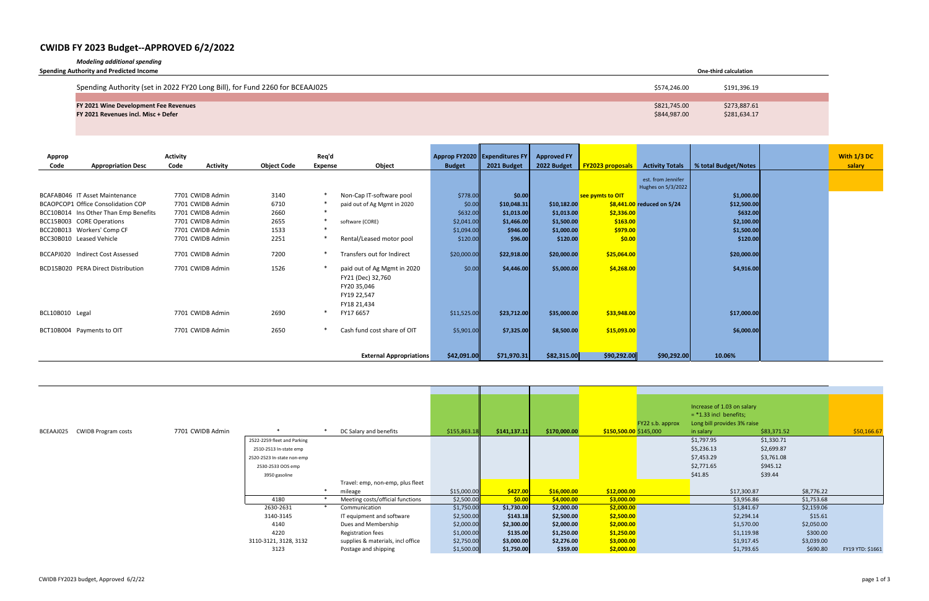# **CWIDB FY 2023 Budget‐‐APPROVED 6/2/2022**

*Modeling additional spending*

**Spending Authority and Predicted Income** 

Spending Authority (set in 2022 FY20 Long Bill), for Fund 2260 for BCEAAJ025 \$574,246.00 \$191,396.00 \$191,396.0

**FY 2021 Wine Development Fee Revenues** \$821,745.00 \$221,745.00 \$221,745.00 \$271,745.00 \$271,745.00 \$271,745.00 \$273,745.00 \$27.61 \$27.61 \$27.61 \$27.61 \$27.61 \$27.61 \$27.61 \$27.61 \$27.61 \$27.61 \$27.61 \$27.61 \$27.61 \$287.61

**FY 2021 Revenues incl. Misc + Defer**

| 2 FY20 Long Bill), for Fund 2260 for BCEAAJ025 | \$574,246.00 | \$191,396.19 |
|------------------------------------------------|--------------|--------------|
|                                                |              |              |
| venues                                         | \$821,745.00 | \$273,887.61 |
|                                                | \$844,987.00 | \$281,634.17 |
|                                                |              |              |

| Approp                   |                                       | <b>Activity</b> |                  |                    | Req'd          |                                                                                               |               | Approp FY2020 Expenditures FY Approved FY |             |                         |                            |                                        | With 1/3 DC |
|--------------------------|---------------------------------------|-----------------|------------------|--------------------|----------------|-----------------------------------------------------------------------------------------------|---------------|-------------------------------------------|-------------|-------------------------|----------------------------|----------------------------------------|-------------|
| Code                     | <b>Appropriation Desc</b>             | Code            | <b>Activity</b>  | <b>Object Code</b> | <b>Expense</b> | Object                                                                                        | <b>Budget</b> | 2021 Budget                               | 2022 Budget | <b>FY2023 proposals</b> |                            | Activity Totals   % total Budget/Notes | salary      |
|                          |                                       |                 |                  |                    |                |                                                                                               |               |                                           |             |                         | est. from Jennifer         |                                        |             |
|                          |                                       |                 |                  |                    |                |                                                                                               |               |                                           |             |                         | Hughes on 5/3/2022         |                                        |             |
|                          | BCAFAB046 IT Asset Maintenance        |                 | 7701 CWIDB Admin | 3140               |                | Non-Cap IT-software pool                                                                      | \$778.00      | \$0.00                                    |             | see pymts to OIT        |                            | \$1,000.00                             |             |
|                          | BCAOPCOP1 Office Consolidation COP    |                 | 7701 CWIDB Admin | 6710               |                | paid out of Ag Mgmt in 2020                                                                   | \$0.00        | \$10,048.31                               | \$10,182.00 |                         | \$8,441.00 reduced on 5/24 | \$12,500.00                            |             |
|                          | BCC10B014 Ins Other Than Emp Benefits |                 | 7701 CWIDB Admin | 2660               | $\ast$         |                                                                                               | \$632.00      | \$1,013.00                                | \$1,013.00  | \$2,336.00              |                            | \$632.00                               |             |
|                          | BCC15B003 CORE Operations             |                 | 7701 CWIDB Admin | 2655               | *              | software (CORE)                                                                               | \$2,041.00    | \$1,466.00                                | \$1,500.00  | \$163.00                |                            | \$2,100.00                             |             |
|                          | BCC20B013 Workers' Comp CF            |                 | 7701 CWIDB Admin | 1533               |                |                                                                                               | \$1,094.00    | \$946.00                                  | \$1,000.00  | \$979.00                |                            | \$1,500.00                             |             |
| BCC30B010 Leased Vehicle |                                       |                 | 7701 CWIDB Admin | 2251               |                | Rental/Leased motor pool                                                                      | \$120.00      | \$96.00                                   | \$120.00    | \$0.00                  |                            | \$120.00                               |             |
|                          | BCCAPJ020 Indirect Cost Assessed      |                 | 7701 CWIDB Admin | 7200               |                | Transfers out for Indirect                                                                    | \$20,000.00   | \$22,918.00                               | \$20,000.00 | \$25,064.00             |                            | \$20,000.00]                           |             |
|                          | BCD15B020 PERA Direct Distribution    |                 | 7701 CWIDB Admin | 1526               |                | paid out of Ag Mgmt in 2020<br>FY21 (Dec) 32,760<br>FY20 35,046<br>FY19 22,547<br>FY18 21,434 | \$0.00        | \$4,446.00                                | \$5,000.00  | \$4,268.00              |                            | \$4,916.00                             |             |
| BCL10B010 Legal          |                                       |                 | 7701 CWIDB Admin | 2690               |                | FY17 6657                                                                                     | \$11,525.00   | \$23,712.00                               | \$35,000.00 | \$33,948.00             |                            | \$17,000.00                            |             |
|                          | BCT10B004 Payments to OIT             |                 | 7701 CWIDB Admin | 2650               |                | Cash fund cost share of OIT                                                                   | \$5,901.00    | \$7,325.00                                | \$8,500.00  | \$15,093.00             |                            | \$6,000.00                             |             |
|                          |                                       |                 |                  |                    |                | <b>External Appropriations</b>                                                                | \$42,091.00   | \$71,970.31                               | \$82,315.00 | \$90,292.00             | \$90,292.00                | 10.06%                                 |             |

| <b>CWIDB Program costs</b><br>BCEAAJ025 | 7701 CWIDB Admin |                             | DC Salary and benefits            | \$155,863.18 | \$141,137.11 | \$170,000.00 |             | FY22 s.b. approx<br>$$150,500.00$ \$145,000 | Increase of 1.03 on salary<br>$=$ *1.33 incl benefits;<br>Long bill provides 3% raise<br>in salary | \$83,371.52 |            | \$50,166.67      |
|-----------------------------------------|------------------|-----------------------------|-----------------------------------|--------------|--------------|--------------|-------------|---------------------------------------------|----------------------------------------------------------------------------------------------------|-------------|------------|------------------|
|                                         |                  | 2522-2259 fleet and Parking |                                   |              |              |              |             |                                             | \$1,797.95                                                                                         | \$1,330.71  |            |                  |
|                                         |                  | 2510-2513 In-state emp      |                                   |              |              |              |             |                                             | \$5,236.13                                                                                         | \$2,699.87  |            |                  |
|                                         |                  | 2520-2523 In-state non-emp  |                                   |              |              |              |             |                                             | \$7,453.29                                                                                         | \$3,761.08  |            |                  |
|                                         |                  | 2530-2533 OOS emp           |                                   |              |              |              |             |                                             | \$2,771.65                                                                                         | \$945.12    |            |                  |
|                                         |                  | 3950 gasoline               |                                   |              |              |              |             |                                             | \$41.85                                                                                            | \$39.44     |            |                  |
|                                         |                  |                             | Travel: emp, non-emp, plus fleet  |              |              |              |             |                                             |                                                                                                    |             |            |                  |
|                                         |                  |                             | mileage                           | \$15,000.00  | \$427.00     | \$16,000.00  | \$12,000.00 |                                             |                                                                                                    | \$17,300.87 | \$8,776.22 |                  |
|                                         |                  | 4180                        | Meeting costs/official functions  | \$2,500.00   | \$0.00       | \$4,000.00   | \$3,000.00  |                                             |                                                                                                    | \$3,956.86  | \$1,753.68 |                  |
|                                         |                  | 2630-2631                   | Communication                     | \$1,750.00   | \$1,730.00   | \$2,000.00   | \$2,000.00  |                                             |                                                                                                    | \$1,841.67  | \$2,159.06 |                  |
|                                         |                  | 3140-3145                   | IT equipment and software         | \$2,500.00   | \$143.18     | \$2,500.00   | \$2,500.00  |                                             |                                                                                                    | \$2,294.14  | \$15.61    |                  |
|                                         |                  | 4140                        | Dues and Membership               | \$2,000.00   | \$2,300.00   | \$2,000.00   | \$2,000.00  |                                             |                                                                                                    | \$1,570.00  | \$2,050.00 |                  |
|                                         |                  | 4220                        | <b>Registration fees</b>          | \$1,000.00   | \$135.00     | \$1,250.00   | \$1,250.00  |                                             |                                                                                                    | \$1,119.98  | \$300.00   |                  |
|                                         |                  | 3110-3121, 3128, 3132       | supplies & materials, incl office | \$2,750.00   | \$3,000.00   | \$2,276.00   | \$3,000.00  |                                             |                                                                                                    | \$1,917.45  | \$3,039.00 |                  |
|                                         |                  | 3123                        | Postage and shipping              | \$1,500.00   | \$1,750.00   | \$359.00     | \$2,000.00  |                                             |                                                                                                    | \$1,793.65  | \$690.80   | FY19 YTD: \$1661 |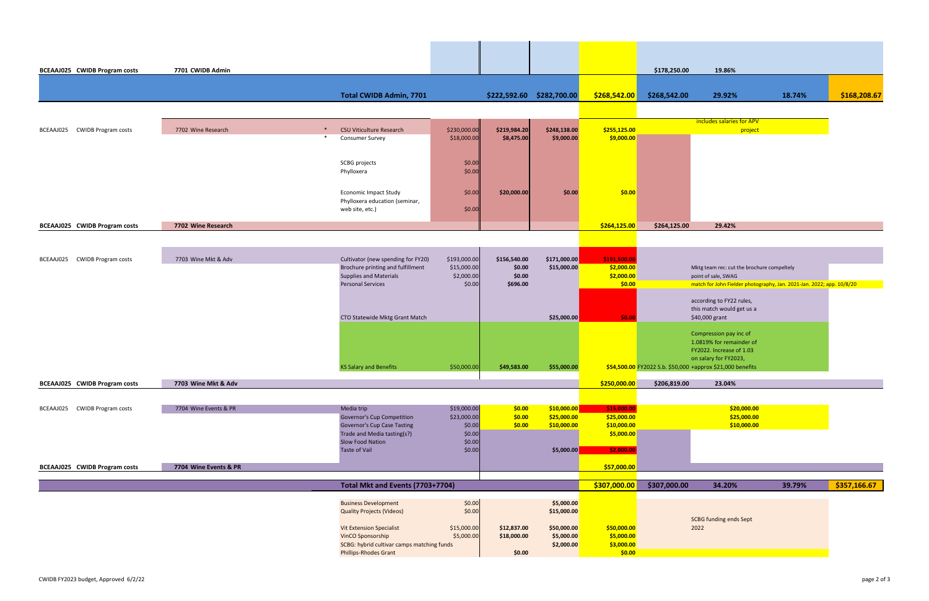| BCEAAJ025 CWIDB Program costs        | 7701 CWIDB Admin             |                                                                   |                           |                    |                           |                           | \$178,250.00                     | 19.86%                                                                                       |        |              |
|--------------------------------------|------------------------------|-------------------------------------------------------------------|---------------------------|--------------------|---------------------------|---------------------------|----------------------------------|----------------------------------------------------------------------------------------------|--------|--------------|
|                                      |                              |                                                                   |                           |                    |                           |                           |                                  |                                                                                              |        |              |
|                                      |                              | <b>Total CWIDB Admin, 7701</b>                                    |                           |                    | \$222,592.60 \$282,700.00 | \$268,542.00              | \$268,542.00                     | 29.92%                                                                                       | 18.74% | \$168,208.67 |
|                                      |                              |                                                                   |                           |                    |                           |                           |                                  |                                                                                              |        |              |
| BCEAAJ025 CWIDB Program costs        | 7702 Wine Research<br>$\ast$ | <b>CSU Viticulture Research</b>                                   | \$230,000.00              | \$219,984.20       | \$248,138.00              | \$255,125.00              |                                  | includes salaries for APV<br>project                                                         |        |              |
|                                      | $\ast$                       | <b>Consumer Survey</b>                                            | \$18,000.00               | \$8,475.00         | \$9,000.00                | \$9,000.00                |                                  |                                                                                              |        |              |
|                                      |                              |                                                                   |                           |                    |                           |                           |                                  |                                                                                              |        |              |
|                                      |                              | SCBG projects<br>Phylloxera                                       | \$0.00<br>\$0.00          |                    |                           |                           |                                  |                                                                                              |        |              |
|                                      |                              |                                                                   |                           |                    |                           |                           |                                  |                                                                                              |        |              |
|                                      |                              | <b>Economic Impact Study</b>                                      | \$0.00                    | \$20,000.00        | \$0.00                    | \$0.00                    |                                  |                                                                                              |        |              |
|                                      |                              | Phylloxera education (seminar,<br>web site, etc.)                 | \$0.00                    |                    |                           |                           |                                  |                                                                                              |        |              |
|                                      |                              |                                                                   |                           |                    |                           |                           |                                  |                                                                                              |        |              |
| <b>BCEAAJ025 CWIDB Program costs</b> | 7702 Wine Research           |                                                                   |                           |                    |                           | \$264,125.00              | \$264,125.00                     | 29.42%                                                                                       |        |              |
|                                      |                              |                                                                   |                           |                    |                           |                           |                                  |                                                                                              |        |              |
| BCEAAJ025 CWIDB Program costs        | 7703 Wine Mkt & Adv          | Cultivator (new spending for FY20)                                | \$193,000.00              | \$156,540.00       | \$171,000.00              | \$191,500.00              |                                  |                                                                                              |        |              |
|                                      |                              | Brochure printing and fulfillment                                 | \$15,000.00               | \$0.00             | \$15,000.00               | \$2,000.00                |                                  | Mktg team rec: cut the brochure compeltely                                                   |        |              |
|                                      |                              | <b>Supplies and Materials</b><br><b>Personal Services</b>         | \$2,000.00<br>\$0.00      | \$0.00<br>\$696.00 |                           | \$2,000.00<br>\$0.00      |                                  | point of sale, SWAG<br>match for John Fielder photography, Jan. 2021-Jan. 2022; app. 10/8/20 |        |              |
|                                      |                              |                                                                   |                           |                    |                           |                           |                                  |                                                                                              |        |              |
|                                      |                              |                                                                   |                           |                    |                           |                           |                                  | according to FY22 rules,<br>this match would get us a                                        |        |              |
|                                      |                              | CTO Statewide Mktg Grant Match                                    |                           |                    | \$25,000.00               | \$0.00                    |                                  | \$40,000 grant                                                                               |        |              |
|                                      |                              |                                                                   |                           |                    |                           |                           |                                  | Compression pay inc of                                                                       |        |              |
|                                      |                              |                                                                   |                           |                    |                           |                           |                                  | 1.0819% for remainder of                                                                     |        |              |
|                                      |                              |                                                                   |                           |                    |                           |                           |                                  | FY2022. Increase of 1.03<br>on salary for FY2023,                                            |        |              |
|                                      |                              | <b>KS Salary and Benefits</b>                                     | \$50,000.00               | \$49,583.00        | \$55,000.00               |                           |                                  | \$54,500.00 FY2022 S.b. \$50,000 +approx \$21,000 benefits                                   |        |              |
| BCEAAJ025 CWIDB Program costs        | 7703 Wine Mkt & Adv          |                                                                   |                           |                    |                           |                           | \$250,000.00 \$206,819.00 23.04% |                                                                                              |        |              |
|                                      |                              |                                                                   |                           |                    |                           |                           |                                  |                                                                                              |        |              |
| BCEAAJ025 CWIDB Program costs        | 7704 Wine Events & PR        | Media trip                                                        | \$19,000.00               | \$0.00             | \$10,000.00               | \$15,000.00               |                                  | \$20,000.00                                                                                  |        |              |
|                                      |                              | Governor's Cup Competition                                        | \$23,000.00               | \$0.00             | \$25,000.00               | \$25,000.00               |                                  | \$25,000.00                                                                                  |        |              |
|                                      |                              | <b>Governor's Cup Case Tasting</b><br>Trade and Media tasting(s?) | \$0.00<br>\$0.00          | \$0.00             | \$10,000.00               | \$10,000.00<br>\$5,000.00 |                                  | \$10,000.00                                                                                  |        |              |
|                                      |                              | Slow Food Nation                                                  | \$0.00                    |                    |                           |                           |                                  |                                                                                              |        |              |
|                                      |                              | <b>Taste of Vail</b>                                              | \$0.00                    |                    | \$5,000.00                | \$2,000.00                |                                  |                                                                                              |        |              |
| BCEAAJ025 CWIDB Program costs        | 7704 Wine Events & PR        |                                                                   |                           |                    |                           | \$57,000.00               |                                  |                                                                                              |        |              |
|                                      |                              | Total Mkt and Events (7703+7704)                                  |                           |                    |                           | \$307,000.00              | \$307,000.00                     | 34.20%                                                                                       | 39.79% | \$357,166.67 |
|                                      |                              |                                                                   |                           |                    |                           |                           |                                  |                                                                                              |        |              |
|                                      |                              | <b>Business Development</b><br><b>Quality Projects (Videos)</b>   | \$0.00<br>\$0.00          |                    | \$5,000.00<br>\$15,000.00 |                           |                                  |                                                                                              |        |              |
|                                      |                              |                                                                   |                           |                    |                           |                           |                                  | <b>SCBG funding ends Sept</b>                                                                |        |              |
|                                      |                              | <b>Vit Extension Specialist</b><br>VinCO Sponsorship              | \$15,000.00<br>\$5,000.00 | \$12,837.00        | \$50,000.00               | \$50,000.00<br>\$5,000.00 |                                  | 2022                                                                                         |        |              |
|                                      |                              | SCBG: hybrid cultivar camps matching funds                        |                           | \$18,000.00        | \$5,000.00<br>\$2,000.00  | \$3,000.00                |                                  |                                                                                              |        |              |
|                                      |                              | <b>Phillips-Rhodes Grant</b>                                      |                           | \$0.00             |                           | \$0.00                    |                                  |                                                                                              |        |              |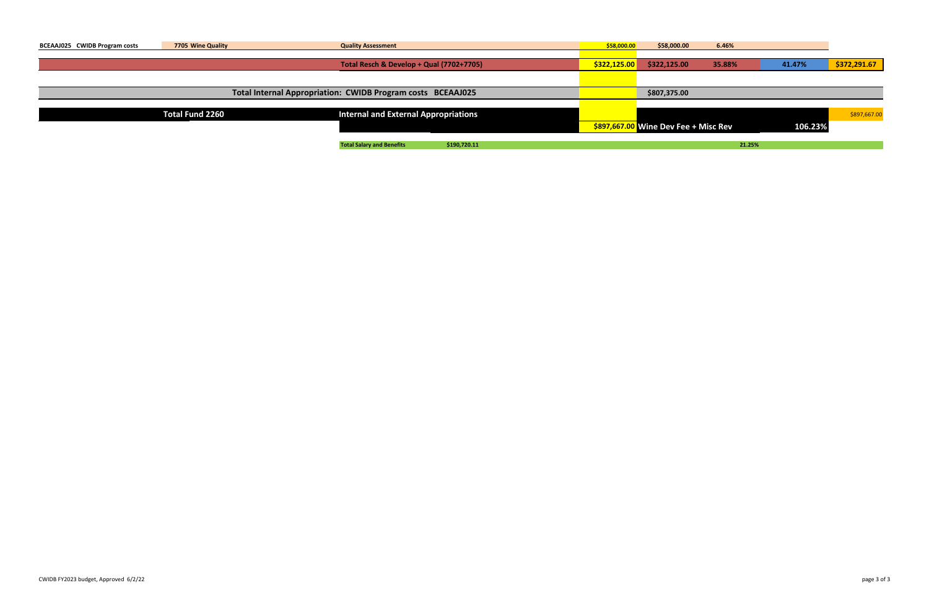| BCEAAJ025 CWIDB Program costs | 7705 Wine Quality                                                  | <b>Quality Assessment</b>                        | \$58,000.00  | \$58,000.00                          | 6.46%  |         |              |
|-------------------------------|--------------------------------------------------------------------|--------------------------------------------------|--------------|--------------------------------------|--------|---------|--------------|
|                               |                                                                    |                                                  |              |                                      |        |         |              |
|                               |                                                                    | Total Resch & Develop + Qual (7702+7705)         | \$322,125.00 | \$322,125.00                         | 35.88% | 41.47%  | \$372,291.67 |
|                               |                                                                    |                                                  |              |                                      |        |         |              |
|                               | <b>Total Internal Appropriation: CWIDB Program costs BCEAAJ025</b> |                                                  | \$807,375.00 |                                      |        |         |              |
|                               |                                                                    |                                                  |              |                                      |        |         |              |
|                               | <b>Total Fund 2260</b>                                             | Internal and External Appropriations             |              |                                      |        |         | \$897,667.00 |
|                               |                                                                    |                                                  |              | \$897,667.00 Wine Dev Fee + Misc Rev |        | 106.23% |              |
|                               |                                                                    | <b>Total Salary and Benefits</b><br>\$190,720.11 |              |                                      | 21.25% |         |              |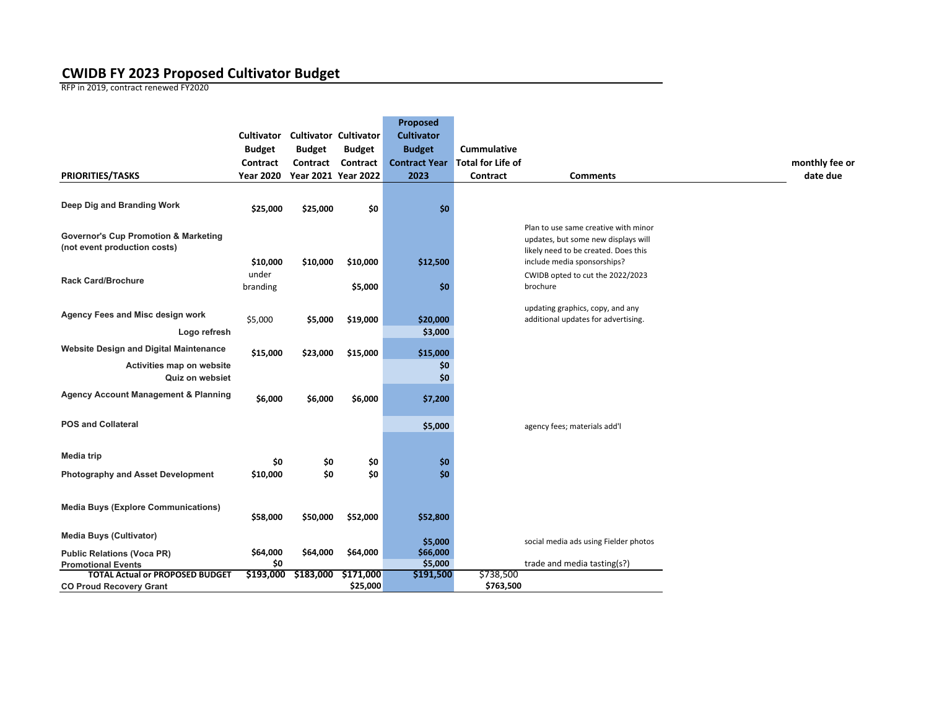#### **CWIDB FY 2023 Proposed Cultivator Budget**

RFP in 2019, contract renewed FY2020

| <b>PRIORITIES/TASKS</b>                                                                       | <b>Cultivator</b><br><b>Budget</b><br>Contract<br><b>Year 2020</b> | <b>Cultivator Cultivator</b><br><b>Budget</b><br>Contract<br>Year 2021 Year 2022 | <b>Budget</b><br>Contract | Proposed<br><b>Cultivator</b><br><b>Budget</b><br><b>Contract Year</b><br>2023 | <b>Cummulative</b><br>Total for Life of<br>Contract | <b>Comments</b>                                                                                                                                    | monthly fee or<br>date due |
|-----------------------------------------------------------------------------------------------|--------------------------------------------------------------------|----------------------------------------------------------------------------------|---------------------------|--------------------------------------------------------------------------------|-----------------------------------------------------|----------------------------------------------------------------------------------------------------------------------------------------------------|----------------------------|
|                                                                                               |                                                                    |                                                                                  |                           |                                                                                |                                                     |                                                                                                                                                    |                            |
| Deep Dig and Branding Work                                                                    | \$25,000                                                           | \$25,000                                                                         | \$0                       | \$0                                                                            |                                                     |                                                                                                                                                    |                            |
| <b>Governor's Cup Promotion &amp; Marketing</b><br>(not event production costs)               | \$10,000                                                           | \$10,000                                                                         | \$10,000                  | \$12,500                                                                       |                                                     | Plan to use same creative with minor<br>updates, but some new displays will<br>likely need to be created. Does this<br>include media sponsorships? |                            |
| <b>Rack Card/Brochure</b>                                                                     | under<br>branding                                                  |                                                                                  | \$5,000                   | \$0                                                                            |                                                     | CWIDB opted to cut the 2022/2023<br>brochure                                                                                                       |                            |
| Agency Fees and Misc design work<br>Logo refresh                                              | \$5,000                                                            | \$5,000                                                                          | \$19,000                  | \$20,000<br>\$3,000                                                            |                                                     | updating graphics, copy, and any<br>additional updates for advertising.                                                                            |                            |
| <b>Website Design and Digital Maintenance</b><br>Activities map on website<br>Quiz on websiet | \$15,000                                                           | \$23,000                                                                         | \$15,000                  | \$15,000<br>\$0<br>\$0                                                         |                                                     |                                                                                                                                                    |                            |
| <b>Agency Account Management &amp; Planning</b>                                               | \$6,000                                                            | \$6,000                                                                          | \$6,000                   | \$7,200                                                                        |                                                     |                                                                                                                                                    |                            |
| <b>POS and Collateral</b>                                                                     |                                                                    |                                                                                  |                           | \$5,000                                                                        |                                                     | agency fees; materials add'l                                                                                                                       |                            |
| Media trip                                                                                    | \$0                                                                | \$0                                                                              | \$0                       | \$0                                                                            |                                                     |                                                                                                                                                    |                            |
| <b>Photography and Asset Development</b>                                                      | \$10,000                                                           | \$0                                                                              | \$0                       | \$0                                                                            |                                                     |                                                                                                                                                    |                            |
| <b>Media Buys (Explore Communications)</b>                                                    | \$58,000                                                           | \$50,000                                                                         | \$52,000                  | \$52,800                                                                       |                                                     |                                                                                                                                                    |                            |
| <b>Media Buys (Cultivator)</b>                                                                |                                                                    |                                                                                  |                           | \$5,000                                                                        |                                                     | social media ads using Fielder photos                                                                                                              |                            |
| <b>Public Relations (Voca PR)</b><br><b>Promotional Events</b>                                | \$64,000<br>\$0                                                    | \$64,000                                                                         | \$64,000                  | \$66,000<br>\$5,000                                                            |                                                     | trade and media tasting(s?)                                                                                                                        |                            |
| <b>TOTAL Actual or PROPOSED BUDGET</b><br><b>CO Proud Recovery Grant</b>                      | \$193,000                                                          | \$183,000                                                                        | \$171,000<br>\$25,000     | \$191,500                                                                      | \$738,500<br>\$763,500                              |                                                                                                                                                    |                            |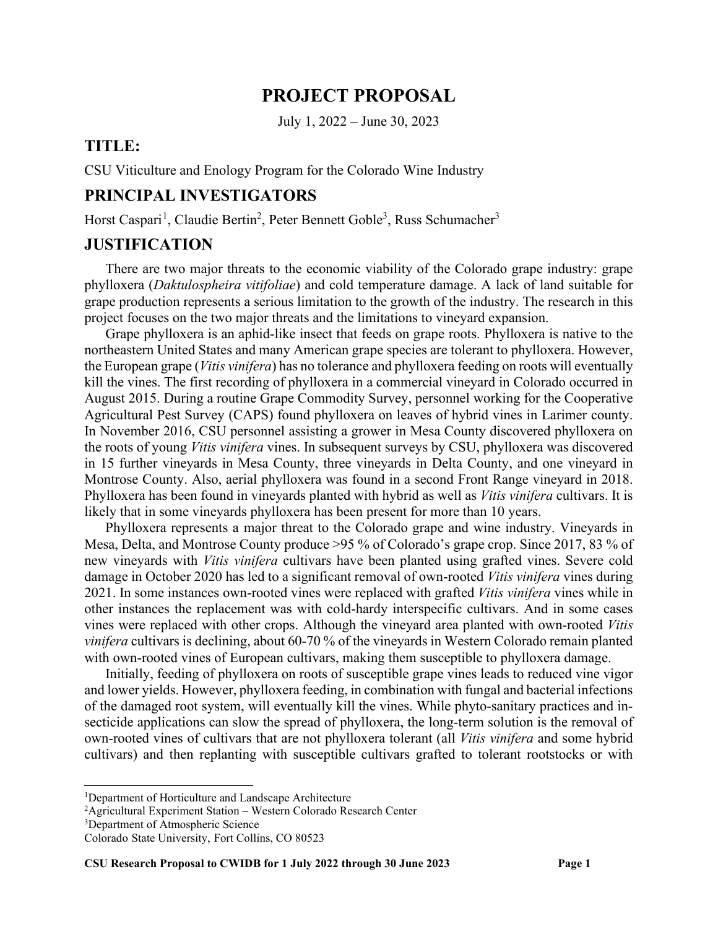## **PROJECT PROPOSAL**

July 1, 2022 – June 30, 2023

## **TITLE:**

CSU Viticulture and Enology Program for the Colorado Wine Industry

## **PRINCIPAL INVESTIGATORS**

Horst Caspari<sup>[1](#page-4-0)</sup>, Claudie Bertin<sup>2</sup>, Peter Bennett Goble<sup>3</sup>, Russ Schumacher<sup>3</sup>

## **JUSTIFICATION**

There are two major threats to the economic viability of the Colorado grape industry: grape phylloxera (*Daktulospheira vitifoliae*) and cold temperature damage. A lack of land suitable for grape production represents a serious limitation to the growth of the industry. The research in this project focuses on the two major threats and the limitations to vineyard expansion.

Grape phylloxera is an aphid-like insect that feeds on grape roots. Phylloxera is native to the northeastern United States and many American grape species are tolerant to phylloxera. However, the European grape (*Vitis vinifera*) has no tolerance and phylloxera feeding on roots will eventually kill the vines. The first recording of phylloxera in a commercial vineyard in Colorado occurred in August 2015. During a routine Grape Commodity Survey, personnel working for the Cooperative Agricultural Pest Survey (CAPS) found phylloxera on leaves of hybrid vines in Larimer county. In November 2016, CSU personnel assisting a grower in Mesa County discovered phylloxera on the roots of young *Vitis vinifera* vines. In subsequent surveys by CSU, phylloxera was discovered in 15 further vineyards in Mesa County, three vineyards in Delta County, and one vineyard in Montrose County. Also, aerial phylloxera was found in a second Front Range vineyard in 2018. Phylloxera has been found in vineyards planted with hybrid as well as *Vitis vinifera* cultivars. It is likely that in some vineyards phylloxera has been present for more than 10 years.

Phylloxera represents a major threat to the Colorado grape and wine industry. Vineyards in Mesa, Delta, and Montrose County produce >95 % of Colorado's grape crop. Since 2017, 83 % of new vineyards with *Vitis vinifera* cultivars have been planted using grafted vines. Severe cold damage in October 2020 has led to a significant removal of own-rooted *Vitis vinifera* vines during 2021. In some instances own-rooted vines were replaced with grafted *Vitis vinifera* vines while in other instances the replacement was with cold-hardy interspecific cultivars. And in some cases vines were replaced with other crops. Although the vineyard area planted with own-rooted *Vitis vinifera* cultivars is declining, about 60-70 % of the vineyards in Western Colorado remain planted with own-rooted vines of European cultivars, making them susceptible to phylloxera damage.

Initially, feeding of phylloxera on roots of susceptible grape vines leads to reduced vine vigor and lower yields. However, phylloxera feeding, in combination with fungal and bacterial infections of the damaged root system, will eventually kill the vines. While phyto-sanitary practices and insecticide applications can slow the spread of phylloxera, the long-term solution is the removal of own-rooted vines of cultivars that are not phylloxera tolerant (all *Vitis vinifera* and some hybrid cultivars) and then replanting with susceptible cultivars grafted to tolerant rootstocks or with

<span id="page-4-0"></span><sup>&</sup>lt;sup>1</sup>Department of Horticulture and Landscape Architecture

<sup>2</sup> Agricultural Experiment Station – Western Colorado Research Center

<sup>&</sup>lt;sup>3</sup>Department of Atmospheric Science

Colorado State University, Fort Collins, CO 80523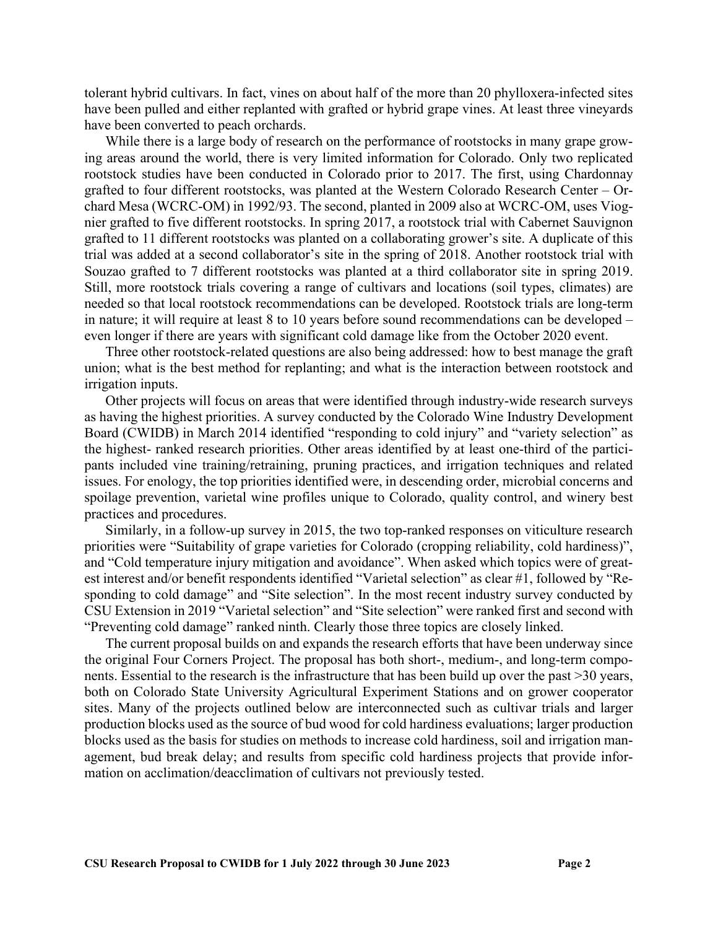tolerant hybrid cultivars. In fact, vines on about half of the more than 20 phylloxera-infected sites have been pulled and either replanted with grafted or hybrid grape vines. At least three vineyards have been converted to peach orchards.

While there is a large body of research on the performance of rootstocks in many grape growing areas around the world, there is very limited information for Colorado. Only two replicated rootstock studies have been conducted in Colorado prior to 2017. The first, using Chardonnay grafted to four different rootstocks, was planted at the Western Colorado Research Center – Orchard Mesa (WCRC-OM) in 1992/93. The second, planted in 2009 also at WCRC-OM, uses Viognier grafted to five different rootstocks. In spring 2017, a rootstock trial with Cabernet Sauvignon grafted to 11 different rootstocks was planted on a collaborating grower's site. A duplicate of this trial was added at a second collaborator's site in the spring of 2018. Another rootstock trial with Souzao grafted to 7 different rootstocks was planted at a third collaborator site in spring 2019. Still, more rootstock trials covering a range of cultivars and locations (soil types, climates) are needed so that local rootstock recommendations can be developed. Rootstock trials are long-term in nature; it will require at least 8 to 10 years before sound recommendations can be developed – even longer if there are years with significant cold damage like from the October 2020 event.

Three other rootstock-related questions are also being addressed: how to best manage the graft union; what is the best method for replanting; and what is the interaction between rootstock and irrigation inputs.

Other projects will focus on areas that were identified through industry-wide research surveys as having the highest priorities. A survey conducted by the Colorado Wine Industry Development Board (CWIDB) in March 2014 identified "responding to cold injury" and "variety selection" as the highest- ranked research priorities. Other areas identified by at least one-third of the participants included vine training/retraining, pruning practices, and irrigation techniques and related issues. For enology, the top priorities identified were, in descending order, microbial concerns and spoilage prevention, varietal wine profiles unique to Colorado, quality control, and winery best practices and procedures.

Similarly, in a follow-up survey in 2015, the two top-ranked responses on viticulture research priorities were "Suitability of grape varieties for Colorado (cropping reliability, cold hardiness)", and "Cold temperature injury mitigation and avoidance". When asked which topics were of greatest interest and/or benefit respondents identified "Varietal selection" as clear #1, followed by "Responding to cold damage" and "Site selection". In the most recent industry survey conducted by CSU Extension in 2019 "Varietal selection" and "Site selection" were ranked first and second with "Preventing cold damage" ranked ninth. Clearly those three topics are closely linked.

The current proposal builds on and expands the research efforts that have been underway since the original Four Corners Project. The proposal has both short-, medium-, and long-term components. Essential to the research is the infrastructure that has been build up over the past >30 years, both on Colorado State University Agricultural Experiment Stations and on grower cooperator sites. Many of the projects outlined below are interconnected such as cultivar trials and larger production blocks used as the source of bud wood for cold hardiness evaluations; larger production blocks used as the basis for studies on methods to increase cold hardiness, soil and irrigation management, bud break delay; and results from specific cold hardiness projects that provide information on acclimation/deacclimation of cultivars not previously tested.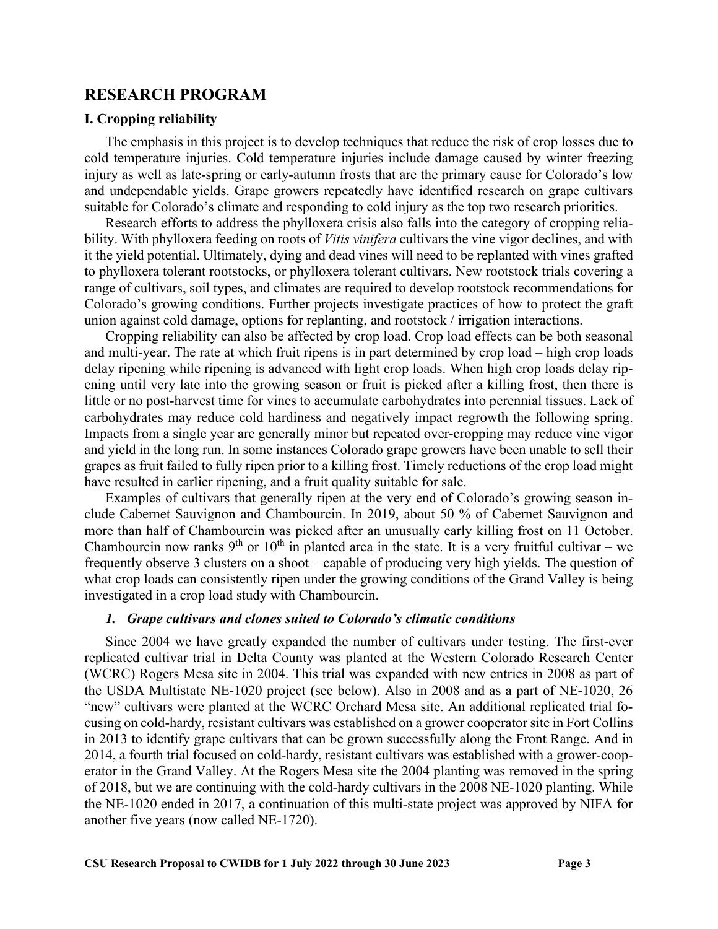### **RESEARCH PROGRAM**

#### **I. Cropping reliability**

The emphasis in this project is to develop techniques that reduce the risk of crop losses due to cold temperature injuries. Cold temperature injuries include damage caused by winter freezing injury as well as late-spring or early-autumn frosts that are the primary cause for Colorado's low and undependable yields. Grape growers repeatedly have identified research on grape cultivars suitable for Colorado's climate and responding to cold injury as the top two research priorities.

Research efforts to address the phylloxera crisis also falls into the category of cropping reliability. With phylloxera feeding on roots of *Vitis vinifera* cultivars the vine vigor declines, and with it the yield potential. Ultimately, dying and dead vines will need to be replanted with vines grafted to phylloxera tolerant rootstocks, or phylloxera tolerant cultivars. New rootstock trials covering a range of cultivars, soil types, and climates are required to develop rootstock recommendations for Colorado's growing conditions. Further projects investigate practices of how to protect the graft union against cold damage, options for replanting, and rootstock / irrigation interactions.

Cropping reliability can also be affected by crop load. Crop load effects can be both seasonal and multi-year. The rate at which fruit ripens is in part determined by crop load – high crop loads delay ripening while ripening is advanced with light crop loads. When high crop loads delay ripening until very late into the growing season or fruit is picked after a killing frost, then there is little or no post-harvest time for vines to accumulate carbohydrates into perennial tissues. Lack of carbohydrates may reduce cold hardiness and negatively impact regrowth the following spring. Impacts from a single year are generally minor but repeated over-cropping may reduce vine vigor and yield in the long run. In some instances Colorado grape growers have been unable to sell their grapes as fruit failed to fully ripen prior to a killing frost. Timely reductions of the crop load might have resulted in earlier ripening, and a fruit quality suitable for sale.

Examples of cultivars that generally ripen at the very end of Colorado's growing season include Cabernet Sauvignon and Chambourcin. In 2019, about 50 % of Cabernet Sauvignon and more than half of Chambourcin was picked after an unusually early killing frost on 11 October. Chambourcin now ranks  $9<sup>th</sup>$  or  $10<sup>th</sup>$  in planted area in the state. It is a very fruitful cultivar – we frequently observe 3 clusters on a shoot – capable of producing very high yields. The question of what crop loads can consistently ripen under the growing conditions of the Grand Valley is being investigated in a crop load study with Chambourcin.

#### *1. Grape cultivars and clones suited to Colorado's climatic conditions*

Since 2004 we have greatly expanded the number of cultivars under testing. The first-ever replicated cultivar trial in Delta County was planted at the Western Colorado Research Center (WCRC) Rogers Mesa site in 2004. This trial was expanded with new entries in 2008 as part of the USDA Multistate NE-1020 project (see below). Also in 2008 and as a part of NE-1020, 26 "new" cultivars were planted at the WCRC Orchard Mesa site. An additional replicated trial focusing on cold-hardy, resistant cultivars was established on a grower cooperator site in Fort Collins in 2013 to identify grape cultivars that can be grown successfully along the Front Range. And in 2014, a fourth trial focused on cold-hardy, resistant cultivars was established with a grower-cooperator in the Grand Valley. At the Rogers Mesa site the 2004 planting was removed in the spring of 2018, but we are continuing with the cold-hardy cultivars in the 2008 NE-1020 planting. While the NE-1020 ended in 2017, a continuation of this multi-state project was approved by NIFA for another five years (now called NE-1720).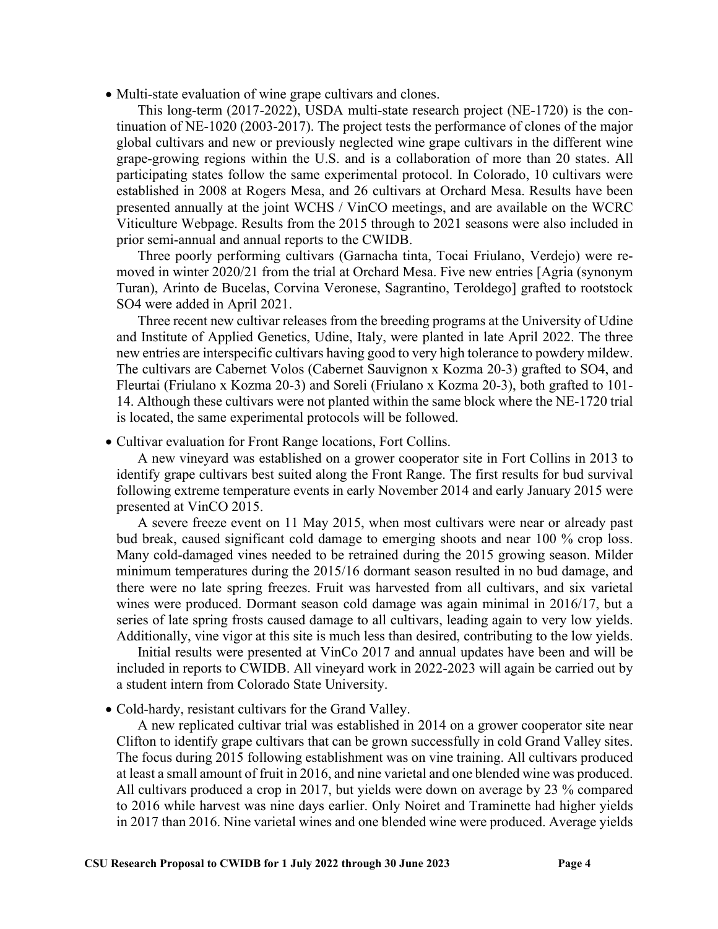• Multi-state evaluation of wine grape cultivars and clones.

This long-term (2017-2022), USDA multi-state research project (NE-1720) is the continuation of NE-1020 (2003-2017). The project tests the performance of clones of the major global cultivars and new or previously neglected wine grape cultivars in the different wine grape-growing regions within the U.S. and is a collaboration of more than 20 states. All participating states follow the same experimental protocol. In Colorado, 10 cultivars were established in 2008 at Rogers Mesa, and 26 cultivars at Orchard Mesa. Results have been presented annually at the joint WCHS / VinCO meetings, and are available on the WCRC Viticulture Webpage. Results from the 2015 through to 2021 seasons were also included in prior semi-annual and annual reports to the CWIDB.

Three poorly performing cultivars (Garnacha tinta, Tocai Friulano, Verdejo) were removed in winter 2020/21 from the trial at Orchard Mesa. Five new entries [Agria (synonym Turan), Arinto de Bucelas, Corvina Veronese, Sagrantino, Teroldego] grafted to rootstock SO4 were added in April 2021.

Three recent new cultivar releases from the breeding programs at the University of Udine and Institute of Applied Genetics, Udine, Italy, were planted in late April 2022. The three new entries are interspecific cultivars having good to very high tolerance to powdery mildew. The cultivars are Cabernet Volos (Cabernet Sauvignon x Kozma 20-3) grafted to SO4, and Fleurtai (Friulano x Kozma 20-3) and Soreli (Friulano x Kozma 20-3), both grafted to 101- 14. Although these cultivars were not planted within the same block where the NE-1720 trial is located, the same experimental protocols will be followed.

• Cultivar evaluation for Front Range locations, Fort Collins.

A new vineyard was established on a grower cooperator site in Fort Collins in 2013 to identify grape cultivars best suited along the Front Range. The first results for bud survival following extreme temperature events in early November 2014 and early January 2015 were presented at VinCO 2015.

A severe freeze event on 11 May 2015, when most cultivars were near or already past bud break, caused significant cold damage to emerging shoots and near 100 % crop loss. Many cold-damaged vines needed to be retrained during the 2015 growing season. Milder minimum temperatures during the 2015/16 dormant season resulted in no bud damage, and there were no late spring freezes. Fruit was harvested from all cultivars, and six varietal wines were produced. Dormant season cold damage was again minimal in 2016/17, but a series of late spring frosts caused damage to all cultivars, leading again to very low yields. Additionally, vine vigor at this site is much less than desired, contributing to the low yields.

Initial results were presented at VinCo 2017 and annual updates have been and will be included in reports to CWIDB. All vineyard work in 2022-2023 will again be carried out by a student intern from Colorado State University.

• Cold-hardy, resistant cultivars for the Grand Valley.

A new replicated cultivar trial was established in 2014 on a grower cooperator site near Clifton to identify grape cultivars that can be grown successfully in cold Grand Valley sites. The focus during 2015 following establishment was on vine training. All cultivars produced at least a small amount of fruit in 2016, and nine varietal and one blended wine was produced. All cultivars produced a crop in 2017, but yields were down on average by 23 % compared to 2016 while harvest was nine days earlier. Only Noiret and Traminette had higher yields in 2017 than 2016. Nine varietal wines and one blended wine were produced. Average yields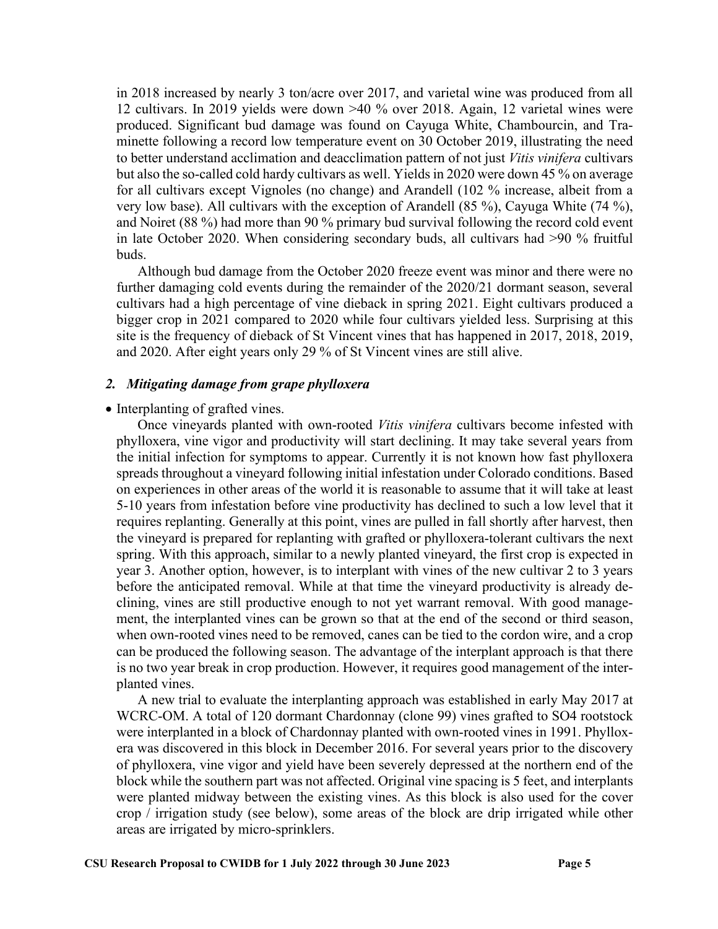in 2018 increased by nearly 3 ton/acre over 2017, and varietal wine was produced from all 12 cultivars. In 2019 yields were down >40 % over 2018. Again, 12 varietal wines were produced. Significant bud damage was found on Cayuga White, Chambourcin, and Traminette following a record low temperature event on 30 October 2019, illustrating the need to better understand acclimation and deacclimation pattern of not just *Vitis vinifera* cultivars but also the so-called cold hardy cultivars as well. Yields in 2020 were down 45 % on average for all cultivars except Vignoles (no change) and Arandell (102 % increase, albeit from a very low base). All cultivars with the exception of Arandell (85 %), Cayuga White (74 %), and Noiret (88 %) had more than 90 % primary bud survival following the record cold event in late October 2020. When considering secondary buds, all cultivars had >90 % fruitful buds.

Although bud damage from the October 2020 freeze event was minor and there were no further damaging cold events during the remainder of the 2020/21 dormant season, several cultivars had a high percentage of vine dieback in spring 2021. Eight cultivars produced a bigger crop in 2021 compared to 2020 while four cultivars yielded less. Surprising at this site is the frequency of dieback of St Vincent vines that has happened in 2017, 2018, 2019, and 2020. After eight years only 29 % of St Vincent vines are still alive.

#### *2. Mitigating damage from grape phylloxera*

#### • Interplanting of grafted vines.

Once vineyards planted with own-rooted *Vitis vinifera* cultivars become infested with phylloxera, vine vigor and productivity will start declining. It may take several years from the initial infection for symptoms to appear. Currently it is not known how fast phylloxera spreads throughout a vineyard following initial infestation under Colorado conditions. Based on experiences in other areas of the world it is reasonable to assume that it will take at least 5-10 years from infestation before vine productivity has declined to such a low level that it requires replanting. Generally at this point, vines are pulled in fall shortly after harvest, then the vineyard is prepared for replanting with grafted or phylloxera-tolerant cultivars the next spring. With this approach, similar to a newly planted vineyard, the first crop is expected in year 3. Another option, however, is to interplant with vines of the new cultivar 2 to 3 years before the anticipated removal. While at that time the vineyard productivity is already declining, vines are still productive enough to not yet warrant removal. With good management, the interplanted vines can be grown so that at the end of the second or third season, when own-rooted vines need to be removed, canes can be tied to the cordon wire, and a crop can be produced the following season. The advantage of the interplant approach is that there is no two year break in crop production. However, it requires good management of the interplanted vines.

A new trial to evaluate the interplanting approach was established in early May 2017 at WCRC-OM. A total of 120 dormant Chardonnay (clone 99) vines grafted to SO4 rootstock were interplanted in a block of Chardonnay planted with own-rooted vines in 1991. Phylloxera was discovered in this block in December 2016. For several years prior to the discovery of phylloxera, vine vigor and yield have been severely depressed at the northern end of the block while the southern part was not affected. Original vine spacing is 5 feet, and interplants were planted midway between the existing vines. As this block is also used for the cover crop / irrigation study (see below), some areas of the block are drip irrigated while other areas are irrigated by micro-sprinklers.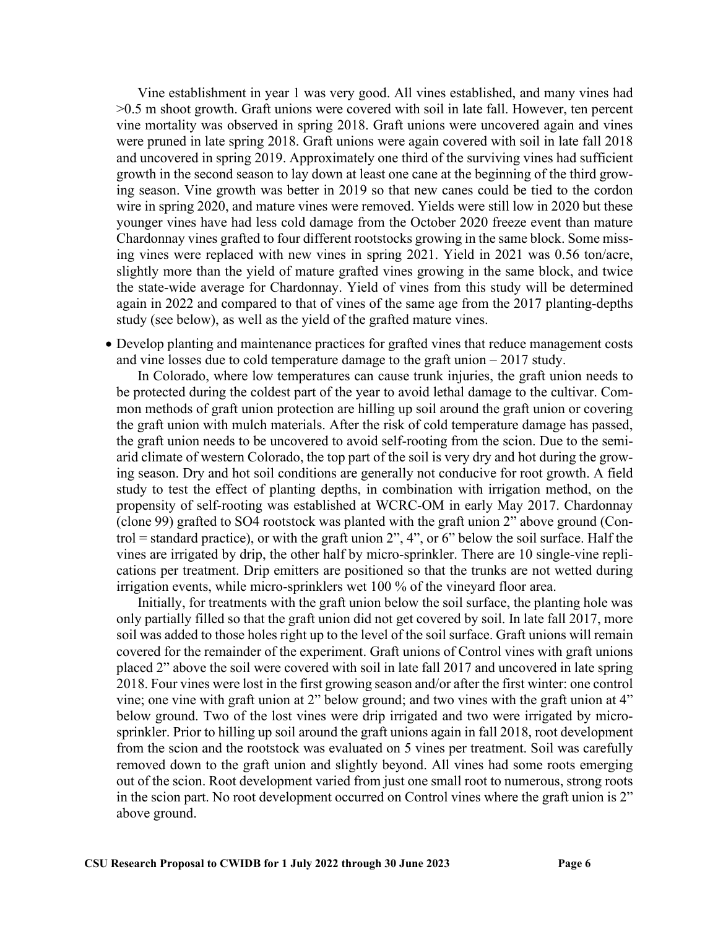Vine establishment in year 1 was very good. All vines established, and many vines had >0.5 m shoot growth. Graft unions were covered with soil in late fall. However, ten percent vine mortality was observed in spring 2018. Graft unions were uncovered again and vines were pruned in late spring 2018. Graft unions were again covered with soil in late fall 2018 and uncovered in spring 2019. Approximately one third of the surviving vines had sufficient growth in the second season to lay down at least one cane at the beginning of the third growing season. Vine growth was better in 2019 so that new canes could be tied to the cordon wire in spring 2020, and mature vines were removed. Yields were still low in 2020 but these younger vines have had less cold damage from the October 2020 freeze event than mature Chardonnay vines grafted to four different rootstocks growing in the same block. Some missing vines were replaced with new vines in spring 2021. Yield in 2021 was 0.56 ton/acre, slightly more than the yield of mature grafted vines growing in the same block, and twice the state-wide average for Chardonnay. Yield of vines from this study will be determined again in 2022 and compared to that of vines of the same age from the 2017 planting-depths study (see below), as well as the yield of the grafted mature vines.

• Develop planting and maintenance practices for grafted vines that reduce management costs and vine losses due to cold temperature damage to the graft union – 2017 study.

In Colorado, where low temperatures can cause trunk injuries, the graft union needs to be protected during the coldest part of the year to avoid lethal damage to the cultivar. Common methods of graft union protection are hilling up soil around the graft union or covering the graft union with mulch materials. After the risk of cold temperature damage has passed, the graft union needs to be uncovered to avoid self-rooting from the scion. Due to the semiarid climate of western Colorado, the top part of the soil is very dry and hot during the growing season. Dry and hot soil conditions are generally not conducive for root growth. A field study to test the effect of planting depths, in combination with irrigation method, on the propensity of self-rooting was established at WCRC-OM in early May 2017. Chardonnay (clone 99) grafted to SO4 rootstock was planted with the graft union 2" above ground (Control = standard practice), or with the graft union  $2$ ",  $4$ ", or  $6$ " below the soil surface. Half the vines are irrigated by drip, the other half by micro-sprinkler. There are 10 single-vine replications per treatment. Drip emitters are positioned so that the trunks are not wetted during irrigation events, while micro-sprinklers wet 100 % of the vineyard floor area.

Initially, for treatments with the graft union below the soil surface, the planting hole was only partially filled so that the graft union did not get covered by soil. In late fall 2017, more soil was added to those holes right up to the level of the soil surface. Graft unions will remain covered for the remainder of the experiment. Graft unions of Control vines with graft unions placed 2" above the soil were covered with soil in late fall 2017 and uncovered in late spring 2018. Four vines were lost in the first growing season and/or after the first winter: one control vine; one vine with graft union at 2" below ground; and two vines with the graft union at 4" below ground. Two of the lost vines were drip irrigated and two were irrigated by microsprinkler. Prior to hilling up soil around the graft unions again in fall 2018, root development from the scion and the rootstock was evaluated on 5 vines per treatment. Soil was carefully removed down to the graft union and slightly beyond. All vines had some roots emerging out of the scion. Root development varied from just one small root to numerous, strong roots in the scion part. No root development occurred on Control vines where the graft union is 2" above ground.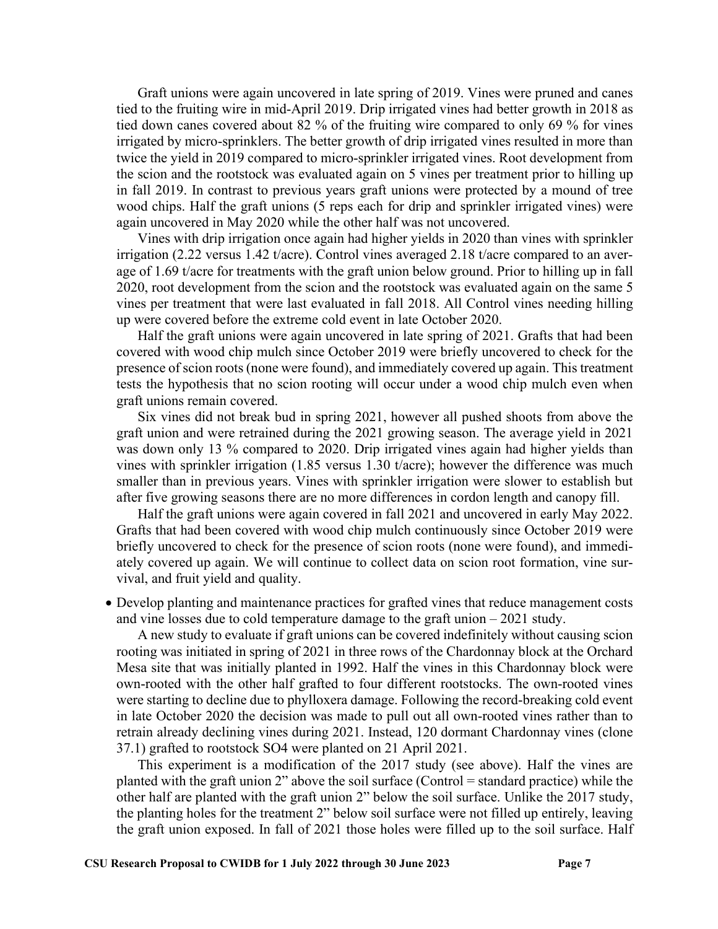Graft unions were again uncovered in late spring of 2019. Vines were pruned and canes tied to the fruiting wire in mid-April 2019. Drip irrigated vines had better growth in 2018 as tied down canes covered about 82 % of the fruiting wire compared to only 69 % for vines irrigated by micro-sprinklers. The better growth of drip irrigated vines resulted in more than twice the yield in 2019 compared to micro-sprinkler irrigated vines. Root development from the scion and the rootstock was evaluated again on 5 vines per treatment prior to hilling up in fall 2019. In contrast to previous years graft unions were protected by a mound of tree wood chips. Half the graft unions (5 reps each for drip and sprinkler irrigated vines) were again uncovered in May 2020 while the other half was not uncovered.

Vines with drip irrigation once again had higher yields in 2020 than vines with sprinkler irrigation (2.22 versus 1.42 t/acre). Control vines averaged 2.18 t/acre compared to an average of 1.69 t/acre for treatments with the graft union below ground. Prior to hilling up in fall 2020, root development from the scion and the rootstock was evaluated again on the same 5 vines per treatment that were last evaluated in fall 2018. All Control vines needing hilling up were covered before the extreme cold event in late October 2020.

Half the graft unions were again uncovered in late spring of 2021. Grafts that had been covered with wood chip mulch since October 2019 were briefly uncovered to check for the presence of scion roots (none were found), and immediately covered up again. This treatment tests the hypothesis that no scion rooting will occur under a wood chip mulch even when graft unions remain covered.

Six vines did not break bud in spring 2021, however all pushed shoots from above the graft union and were retrained during the 2021 growing season. The average yield in 2021 was down only 13 % compared to 2020. Drip irrigated vines again had higher yields than vines with sprinkler irrigation  $(1.85 \text{ versus } 1.30 \text{ t/acre})$ ; however the difference was much smaller than in previous years. Vines with sprinkler irrigation were slower to establish but after five growing seasons there are no more differences in cordon length and canopy fill.

Half the graft unions were again covered in fall 2021 and uncovered in early May 2022. Grafts that had been covered with wood chip mulch continuously since October 2019 were briefly uncovered to check for the presence of scion roots (none were found), and immediately covered up again. We will continue to collect data on scion root formation, vine survival, and fruit yield and quality.

• Develop planting and maintenance practices for grafted vines that reduce management costs and vine losses due to cold temperature damage to the graft union – 2021 study.

A new study to evaluate if graft unions can be covered indefinitely without causing scion rooting was initiated in spring of 2021 in three rows of the Chardonnay block at the Orchard Mesa site that was initially planted in 1992. Half the vines in this Chardonnay block were own-rooted with the other half grafted to four different rootstocks. The own-rooted vines were starting to decline due to phylloxera damage. Following the record-breaking cold event in late October 2020 the decision was made to pull out all own-rooted vines rather than to retrain already declining vines during 2021. Instead, 120 dormant Chardonnay vines (clone 37.1) grafted to rootstock SO4 were planted on 21 April 2021.

This experiment is a modification of the 2017 study (see above). Half the vines are planted with the graft union 2" above the soil surface (Control = standard practice) while the other half are planted with the graft union 2" below the soil surface. Unlike the 2017 study, the planting holes for the treatment 2" below soil surface were not filled up entirely, leaving the graft union exposed. In fall of 2021 those holes were filled up to the soil surface. Half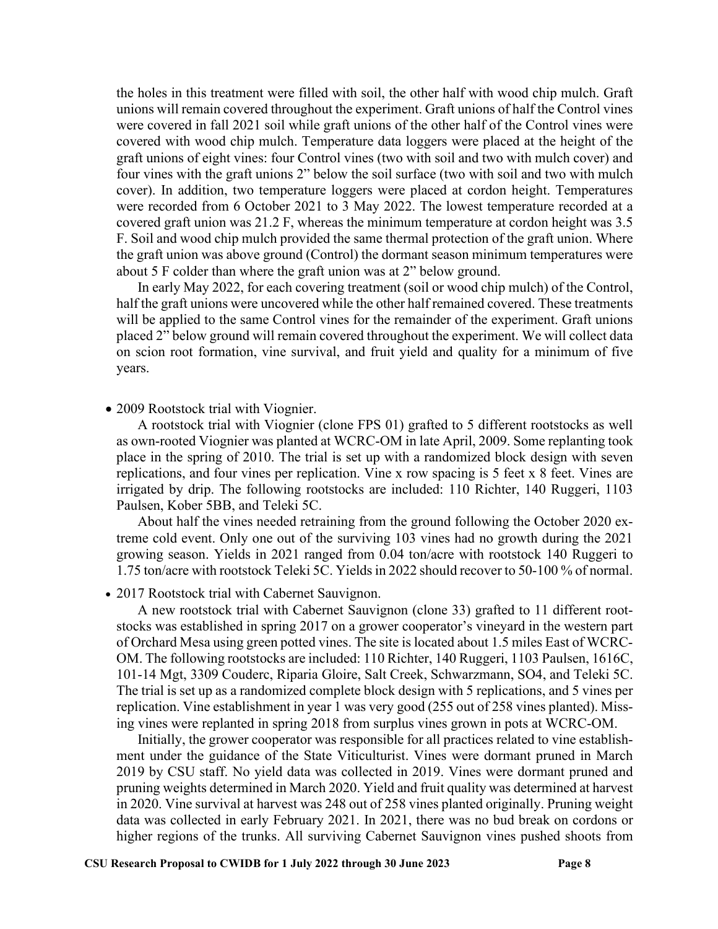the holes in this treatment were filled with soil, the other half with wood chip mulch. Graft unions will remain covered throughout the experiment. Graft unions of half the Control vines were covered in fall 2021 soil while graft unions of the other half of the Control vines were covered with wood chip mulch. Temperature data loggers were placed at the height of the graft unions of eight vines: four Control vines (two with soil and two with mulch cover) and four vines with the graft unions 2" below the soil surface (two with soil and two with mulch cover). In addition, two temperature loggers were placed at cordon height. Temperatures were recorded from 6 October 2021 to 3 May 2022. The lowest temperature recorded at a covered graft union was 21.2 F, whereas the minimum temperature at cordon height was 3.5 F. Soil and wood chip mulch provided the same thermal protection of the graft union. Where the graft union was above ground (Control) the dormant season minimum temperatures were about 5 F colder than where the graft union was at 2" below ground.

In early May 2022, for each covering treatment (soil or wood chip mulch) of the Control, half the graft unions were uncovered while the other half remained covered. These treatments will be applied to the same Control vines for the remainder of the experiment. Graft unions placed 2" below ground will remain covered throughout the experiment. We will collect data on scion root formation, vine survival, and fruit yield and quality for a minimum of five years.

• 2009 Rootstock trial with Viognier.

A rootstock trial with Viognier (clone FPS 01) grafted to 5 different rootstocks as well as own-rooted Viognier was planted at WCRC-OM in late April, 2009. Some replanting took place in the spring of 2010. The trial is set up with a randomized block design with seven replications, and four vines per replication. Vine x row spacing is 5 feet x 8 feet. Vines are irrigated by drip. The following rootstocks are included: 110 Richter, 140 Ruggeri, 1103 Paulsen, Kober 5BB, and Teleki 5C.

About half the vines needed retraining from the ground following the October 2020 extreme cold event. Only one out of the surviving 103 vines had no growth during the 2021 growing season. Yields in 2021 ranged from 0.04 ton/acre with rootstock 140 Ruggeri to 1.75 ton/acre with rootstock Teleki 5C. Yields in 2022 should recover to 50-100 % of normal.

• 2017 Rootstock trial with Cabernet Sauvignon.

A new rootstock trial with Cabernet Sauvignon (clone 33) grafted to 11 different rootstocks was established in spring 2017 on a grower cooperator's vineyard in the western part of Orchard Mesa using green potted vines. The site is located about 1.5 miles East of WCRC-OM. The following rootstocks are included: 110 Richter, 140 Ruggeri, 1103 Paulsen, 1616C, 101-14 Mgt, 3309 Couderc, Riparia Gloire, Salt Creek, Schwarzmann, SO4, and Teleki 5C. The trial is set up as a randomized complete block design with 5 replications, and 5 vines per replication. Vine establishment in year 1 was very good (255 out of 258 vines planted). Missing vines were replanted in spring 2018 from surplus vines grown in pots at WCRC-OM.

Initially, the grower cooperator was responsible for all practices related to vine establishment under the guidance of the State Viticulturist. Vines were dormant pruned in March 2019 by CSU staff. No yield data was collected in 2019. Vines were dormant pruned and pruning weights determined in March 2020. Yield and fruit quality was determined at harvest in 2020. Vine survival at harvest was 248 out of 258 vines planted originally. Pruning weight data was collected in early February 2021. In 2021, there was no bud break on cordons or higher regions of the trunks. All surviving Cabernet Sauvignon vines pushed shoots from

**CSU Research Proposal to CWIDB for 1 July 2022 through 30 June 2023 Page 8**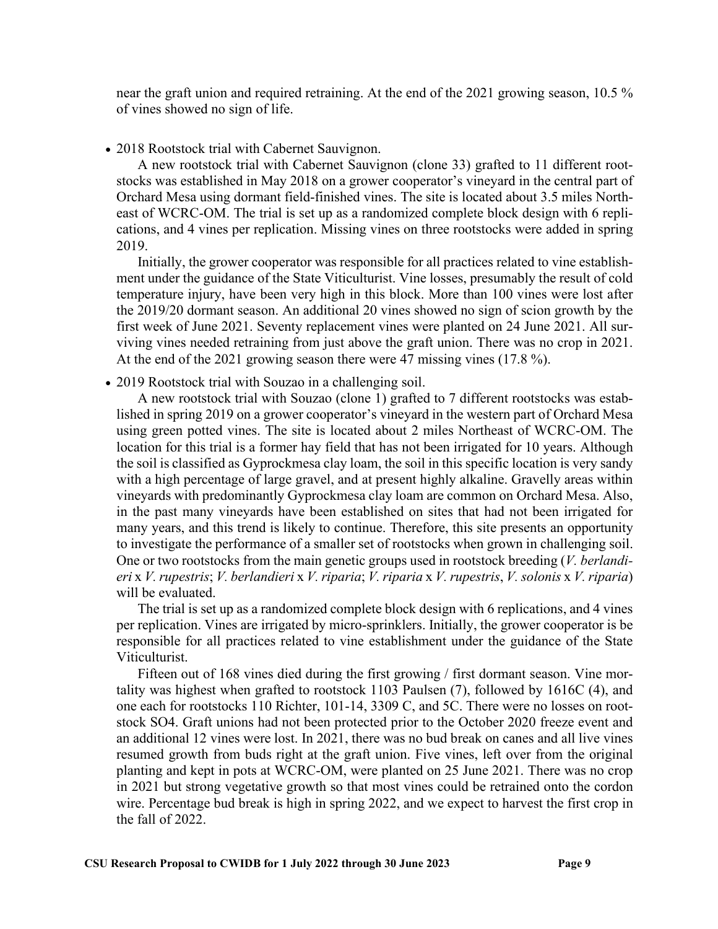near the graft union and required retraining. At the end of the 2021 growing season, 10.5 % of vines showed no sign of life.

• 2018 Rootstock trial with Cabernet Sauvignon.

A new rootstock trial with Cabernet Sauvignon (clone 33) grafted to 11 different rootstocks was established in May 2018 on a grower cooperator's vineyard in the central part of Orchard Mesa using dormant field-finished vines. The site is located about 3.5 miles Northeast of WCRC-OM. The trial is set up as a randomized complete block design with 6 replications, and 4 vines per replication. Missing vines on three rootstocks were added in spring 2019.

Initially, the grower cooperator was responsible for all practices related to vine establishment under the guidance of the State Viticulturist. Vine losses, presumably the result of cold temperature injury, have been very high in this block. More than 100 vines were lost after the 2019/20 dormant season. An additional 20 vines showed no sign of scion growth by the first week of June 2021. Seventy replacement vines were planted on 24 June 2021. All surviving vines needed retraining from just above the graft union. There was no crop in 2021. At the end of the 2021 growing season there were 47 missing vines (17.8 %).

• 2019 Rootstock trial with Souzao in a challenging soil.

A new rootstock trial with Souzao (clone 1) grafted to 7 different rootstocks was established in spring 2019 on a grower cooperator's vineyard in the western part of Orchard Mesa using green potted vines. The site is located about 2 miles Northeast of WCRC-OM. The location for this trial is a former hay field that has not been irrigated for 10 years. Although the soil is classified as Gyprockmesa clay loam, the soil in this specific location is very sandy with a high percentage of large gravel, and at present highly alkaline. Gravelly areas within vineyards with predominantly Gyprockmesa clay loam are common on Orchard Mesa. Also, in the past many vineyards have been established on sites that had not been irrigated for many years, and this trend is likely to continue. Therefore, this site presents an opportunity to investigate the performance of a smaller set of rootstocks when grown in challenging soil. One or two rootstocks from the main genetic groups used in rootstock breeding (*V. berlandieri* x *V. rupestris*; *V. berlandieri* x *V. riparia*; *V. riparia* x *V. rupestris*, *V. solonis* x *V. riparia*) will be evaluated.

The trial is set up as a randomized complete block design with 6 replications, and 4 vines per replication. Vines are irrigated by micro-sprinklers. Initially, the grower cooperator is be responsible for all practices related to vine establishment under the guidance of the State Viticulturist.

Fifteen out of 168 vines died during the first growing / first dormant season. Vine mortality was highest when grafted to rootstock 1103 Paulsen (7), followed by 1616C (4), and one each for rootstocks 110 Richter, 101-14, 3309 C, and 5C. There were no losses on rootstock SO4. Graft unions had not been protected prior to the October 2020 freeze event and an additional 12 vines were lost. In 2021, there was no bud break on canes and all live vines resumed growth from buds right at the graft union. Five vines, left over from the original planting and kept in pots at WCRC-OM, were planted on 25 June 2021. There was no crop in 2021 but strong vegetative growth so that most vines could be retrained onto the cordon wire. Percentage bud break is high in spring 2022, and we expect to harvest the first crop in the fall of 2022.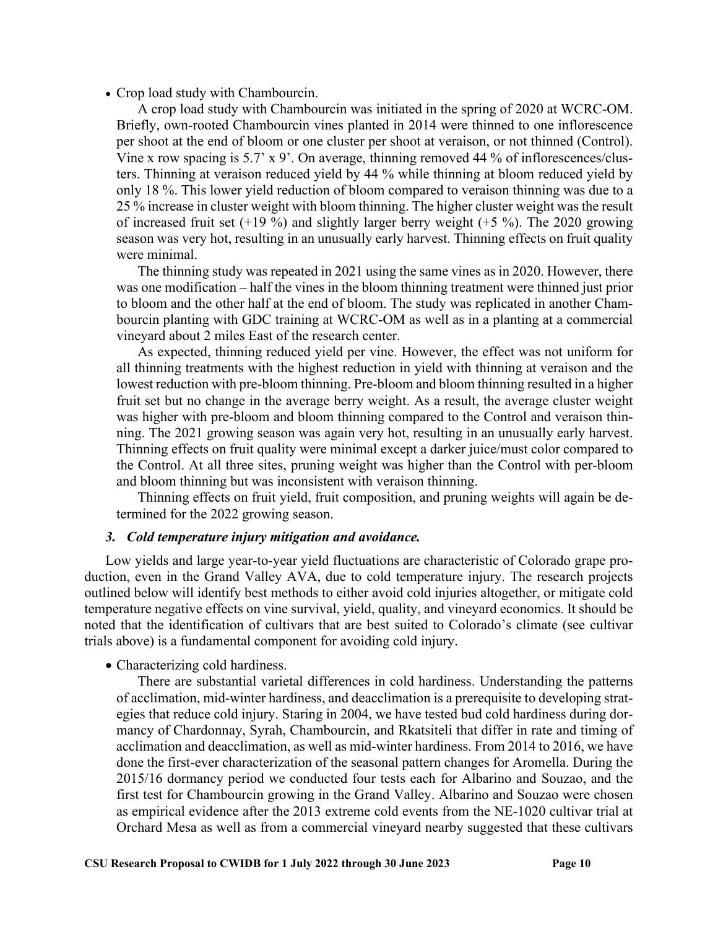#### • Crop load study with Chambourcin.

A crop load study with Chambourcin was initiated in the spring of 2020 at WCRC-OM. Briefly, own-rooted Chambourcin vines planted in 2014 were thinned to one inflorescence per shoot at the end of bloom or one cluster per shoot at veraison, or not thinned (Control). Vine x row spacing is 5.7' x 9'. On average, thinning removed 44 % of inflorescences/clusters. Thinning at veraison reduced yield by 44 % while thinning at bloom reduced yield by only 18 %. This lower yield reduction of bloom compared to veraison thinning was due to a 25 % increase in cluster weight with bloom thinning. The higher cluster weight was the result of increased fruit set  $(+19\%)$  and slightly larger berry weight  $(+5\%)$ . The 2020 growing season was very hot, resulting in an unusually early harvest. Thinning effects on fruit quality were minimal.

The thinning study was repeated in 2021 using the same vines as in 2020. However, there was one modification – half the vines in the bloom thinning treatment were thinned just prior to bloom and the other half at the end of bloom. The study was replicated in another Chambourcin planting with GDC training at WCRC-OM as well as in a planting at a commercial vineyard about 2 miles East of the research center.

As expected, thinning reduced yield per vine. However, the effect was not uniform for all thinning treatments with the highest reduction in yield with thinning at veraison and the lowest reduction with pre-bloom thinning. Pre-bloom and bloom thinning resulted in a higher fruit set but no change in the average berry weight. As a result, the average cluster weight was higher with pre-bloom and bloom thinning compared to the Control and veraison thinning. The 2021 growing season was again very hot, resulting in an unusually early harvest. Thinning effects on fruit quality were minimal except a darker juice/must color compared to the Control. At all three sites, pruning weight was higher than the Control with per-bloom and bloom thinning but was inconsistent with veraison thinning.

Thinning effects on fruit yield, fruit composition, and pruning weights will again be determined for the 2022 growing season.

### *3. Cold temperature injury mitigation and avoidance.*

Low yields and large year-to-year yield fluctuations are characteristic of Colorado grape production, even in the Grand Valley AVA, due to cold temperature injury. The research projects outlined below will identify best methods to either avoid cold injuries altogether, or mitigate cold temperature negative effects on vine survival, yield, quality, and vineyard economics. It should be noted that the identification of cultivars that are best suited to Colorado's climate (see cultivar trials above) is a fundamental component for avoiding cold injury.

### • Characterizing cold hardiness.

There are substantial varietal differences in cold hardiness. Understanding the patterns of acclimation, mid-winter hardiness, and deacclimation is a prerequisite to developing strategies that reduce cold injury. Staring in 2004, we have tested bud cold hardiness during dormancy of Chardonnay, Syrah, Chambourcin, and Rkatsiteli that differ in rate and timing of acclimation and deacclimation, as well as mid-winter hardiness. From 2014 to 2016, we have done the first-ever characterization of the seasonal pattern changes for Aromella. During the 2015/16 dormancy period we conducted four tests each for Albarino and Souzao, and the first test for Chambourcin growing in the Grand Valley. Albarino and Souzao were chosen as empirical evidence after the 2013 extreme cold events from the NE-1020 cultivar trial at Orchard Mesa as well as from a commercial vineyard nearby suggested that these cultivars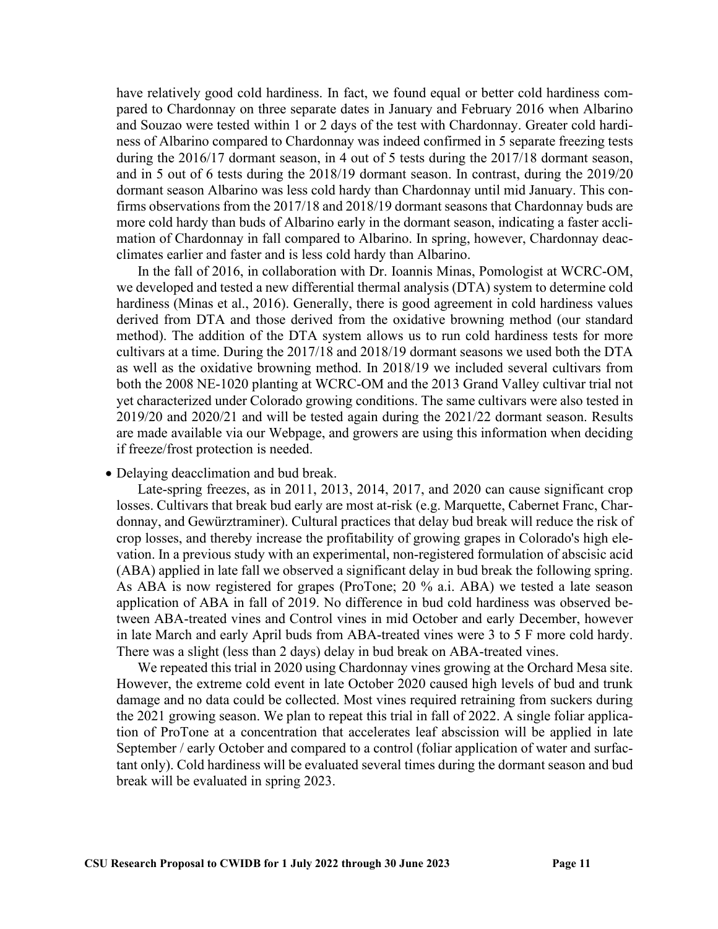have relatively good cold hardiness. In fact, we found equal or better cold hardiness compared to Chardonnay on three separate dates in January and February 2016 when Albarino and Souzao were tested within 1 or 2 days of the test with Chardonnay. Greater cold hardiness of Albarino compared to Chardonnay was indeed confirmed in 5 separate freezing tests during the 2016/17 dormant season, in 4 out of 5 tests during the 2017/18 dormant season, and in 5 out of 6 tests during the 2018/19 dormant season. In contrast, during the 2019/20 dormant season Albarino was less cold hardy than Chardonnay until mid January. This confirms observations from the 2017/18 and 2018/19 dormant seasons that Chardonnay buds are more cold hardy than buds of Albarino early in the dormant season, indicating a faster acclimation of Chardonnay in fall compared to Albarino. In spring, however, Chardonnay deacclimates earlier and faster and is less cold hardy than Albarino.

In the fall of 2016, in collaboration with Dr. Ioannis Minas, Pomologist at WCRC-OM, we developed and tested a new differential thermal analysis (DTA) system to determine cold hardiness (Minas et al., 2016). Generally, there is good agreement in cold hardiness values derived from DTA and those derived from the oxidative browning method (our standard method). The addition of the DTA system allows us to run cold hardiness tests for more cultivars at a time. During the 2017/18 and 2018/19 dormant seasons we used both the DTA as well as the oxidative browning method. In 2018/19 we included several cultivars from both the 2008 NE-1020 planting at WCRC-OM and the 2013 Grand Valley cultivar trial not yet characterized under Colorado growing conditions. The same cultivars were also tested in 2019/20 and 2020/21 and will be tested again during the 2021/22 dormant season. Results are made available via our Webpage, and growers are using this information when deciding if freeze/frost protection is needed.

#### • Delaying deacclimation and bud break.

Late-spring freezes, as in 2011, 2013, 2014, 2017, and 2020 can cause significant crop losses. Cultivars that break bud early are most at-risk (e.g. Marquette, Cabernet Franc, Chardonnay, and Gewürztraminer). Cultural practices that delay bud break will reduce the risk of crop losses, and thereby increase the profitability of growing grapes in Colorado's high elevation. In a previous study with an experimental, non-registered formulation of abscisic acid (ABA) applied in late fall we observed a significant delay in bud break the following spring. As ABA is now registered for grapes (ProTone; 20 % a.i. ABA) we tested a late season application of ABA in fall of 2019. No difference in bud cold hardiness was observed between ABA-treated vines and Control vines in mid October and early December, however in late March and early April buds from ABA-treated vines were 3 to 5 F more cold hardy. There was a slight (less than 2 days) delay in bud break on ABA-treated vines.

We repeated this trial in 2020 using Chardonnay vines growing at the Orchard Mesa site. However, the extreme cold event in late October 2020 caused high levels of bud and trunk damage and no data could be collected. Most vines required retraining from suckers during the 2021 growing season. We plan to repeat this trial in fall of 2022. A single foliar application of ProTone at a concentration that accelerates leaf abscission will be applied in late September / early October and compared to a control (foliar application of water and surfactant only). Cold hardiness will be evaluated several times during the dormant season and bud break will be evaluated in spring 2023.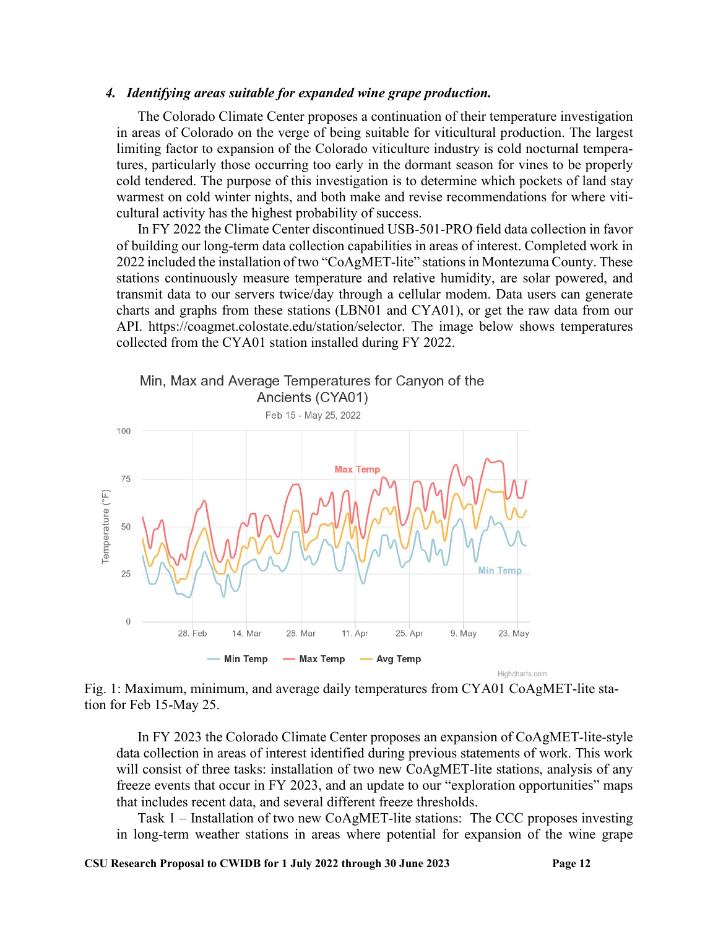#### *4. Identifying areas suitable for expanded wine grape production.*

The Colorado Climate Center proposes a continuation of their temperature investigation in areas of Colorado on the verge of being suitable for viticultural production. The largest limiting factor to expansion of the Colorado viticulture industry is cold nocturnal temperatures, particularly those occurring too early in the dormant season for vines to be properly cold tendered. The purpose of this investigation is to determine which pockets of land stay warmest on cold winter nights, and both make and revise recommendations for where viticultural activity has the highest probability of success.

In FY 2022 the Climate Center discontinued USB-501-PRO field data collection in favor of building our long-term data collection capabilities in areas of interest. Completed work in 2022 included the installation of two "CoAgMET-lite" stations in Montezuma County. These stations continuously measure temperature and relative humidity, are solar powered, and transmit data to our servers twice/day through a cellular modem. Data users can generate charts and graphs from these stations (LBN01 and CYA01), or get the raw data from our API. [https://coagmet.colostate.edu/station/selector.](https://coagmet.colostate.edu/station/selector) The image below shows temperatures collected from the CYA01 station installed during FY 2022.



Fig. 1: Maximum, minimum, and average daily temperatures from CYA01 CoAgMET-lite station for Feb 15-May 25.

In FY 2023 the Colorado Climate Center proposes an expansion of CoAgMET-lite-style data collection in areas of interest identified during previous statements of work. This work will consist of three tasks: installation of two new CoAgMET-lite stations, analysis of any freeze events that occur in FY 2023, and an update to our "exploration opportunities" maps that includes recent data, and several different freeze thresholds.

Task 1 – Installation of two new CoAgMET-lite stations: The CCC proposes investing in long-term weather stations in areas where potential for expansion of the wine grape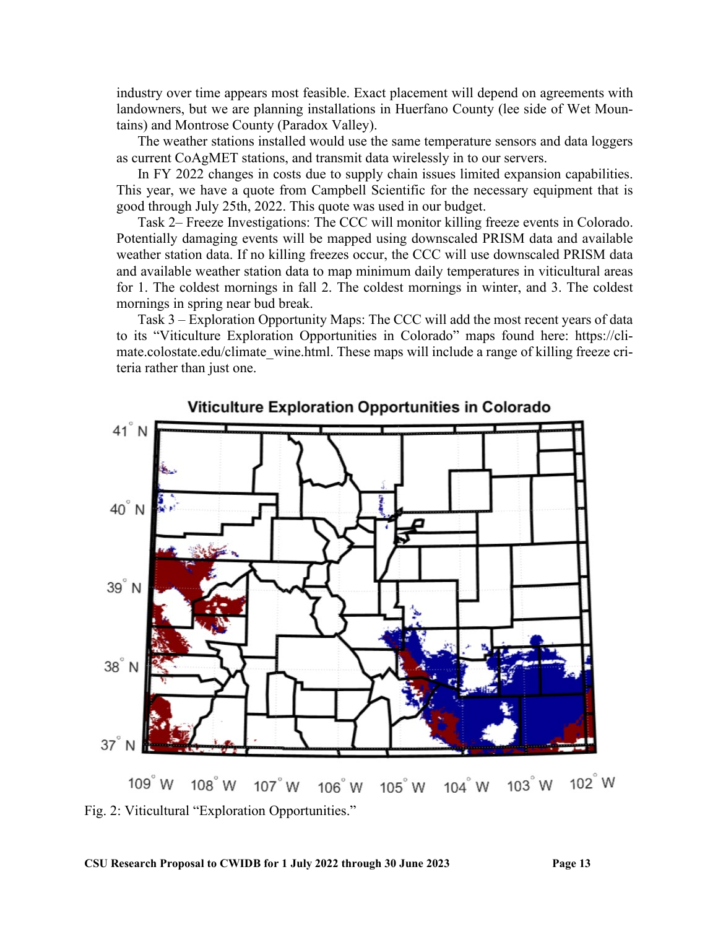industry over time appears most feasible. Exact placement will depend on agreements with landowners, but we are planning installations in Huerfano County (lee side of Wet Mountains) and Montrose County (Paradox Valley).

The weather stations installed would use the same temperature sensors and data loggers as current CoAgMET stations, and transmit data wirelessly in to our servers.

In FY 2022 changes in costs due to supply chain issues limited expansion capabilities. This year, we have a quote from Campbell Scientific for the necessary equipment that is good through July 25th, 2022. This quote was used in our budget.

Task 2– Freeze Investigations: The CCC will monitor killing freeze events in Colorado. Potentially damaging events will be mapped using downscaled PRISM data and available weather station data. If no killing freezes occur, the CCC will use downscaled PRISM data and available weather station data to map minimum daily temperatures in viticultural areas for 1. The coldest mornings in fall 2. The coldest mornings in winter, and 3. The coldest mornings in spring near bud break.

Task 3 – Exploration Opportunity Maps: The CCC will add the most recent years of data to its "Viticulture Exploration Opportunities in Colorado" maps found here: https://climate.colostate.edu/climate\_wine.html. These maps will include a range of killing freeze criteria rather than just one.



**Viticulture Exploration Opportunities in Colorado** 

Fig. 2: Viticultural "Exploration Opportunities."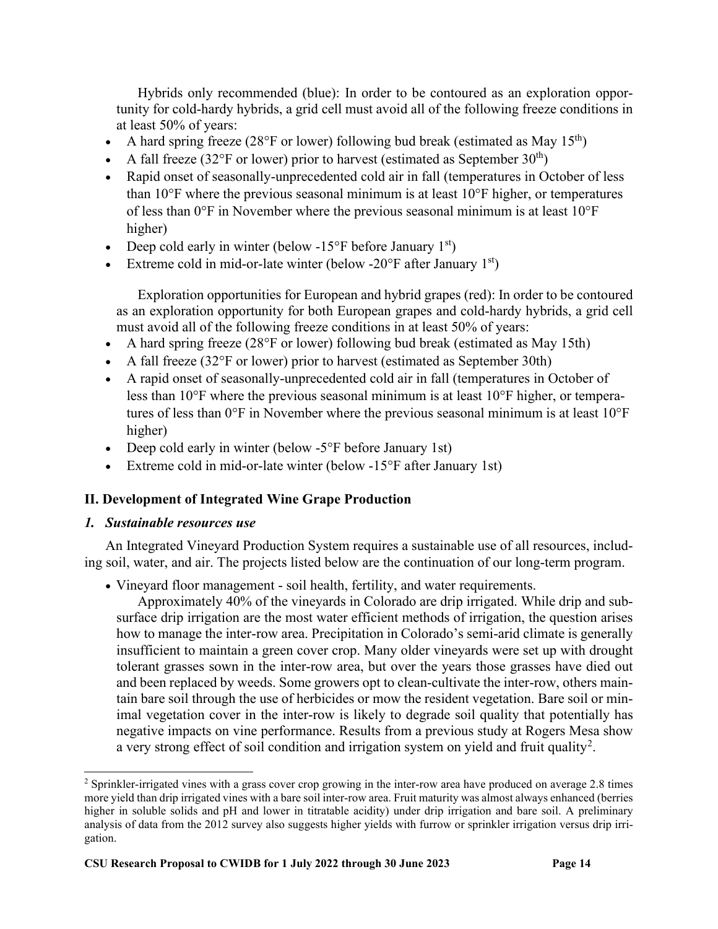Hybrids only recommended (blue): In order to be contoured as an exploration opportunity for cold-hardy hybrids, a grid cell must avoid all of the following freeze conditions in at least 50% of years:

- A hard spring freeze (28°F or lower) following bud break (estimated as May  $15<sup>th</sup>$ )
- A fall freeze (32 $\degree$ F or lower) prior to harvest (estimated as September 30<sup>th</sup>)
- Rapid onset of seasonally-unprecedented cold air in fall (temperatures in October of less than 10°F where the previous seasonal minimum is at least 10°F higher, or temperatures of less than 0°F in November where the previous seasonal minimum is at least 10°F higher)
- Deep cold early in winter (below -15 $\degree$ F before January 1<sup>st</sup>)
- Extreme cold in mid-or-late winter (below -20 $\degree$ F after January 1<sup>st</sup>)

Exploration opportunities for European and hybrid grapes (red): In order to be contoured as an exploration opportunity for both European grapes and cold-hardy hybrids, a grid cell must avoid all of the following freeze conditions in at least 50% of years:

- A hard spring freeze (28°F or lower) following bud break (estimated as May 15th)
- A fall freeze ( $32^{\circ}$ F or lower) prior to harvest (estimated as September 30th)
- A rapid onset of seasonally-unprecedented cold air in fall (temperatures in October of less than 10°F where the previous seasonal minimum is at least 10°F higher, or temperatures of less than 0°F in November where the previous seasonal minimum is at least 10°F higher)
- Deep cold early in winter (below -5°F before January 1st)
- Extreme cold in mid-or-late winter (below -15°F after January 1st)

## **II. Development of Integrated Wine Grape Production**

### *1. Sustainable resources use*

An Integrated Vineyard Production System requires a sustainable use of all resources, including soil, water, and air. The projects listed below are the continuation of our long-term program.

• Vineyard floor management - soil health, fertility, and water requirements.

Approximately 40% of the vineyards in Colorado are drip irrigated. While drip and subsurface drip irrigation are the most water efficient methods of irrigation, the question arises how to manage the inter-row area. Precipitation in Colorado's semi-arid climate is generally insufficient to maintain a green cover crop. Many older vineyards were set up with drought tolerant grasses sown in the inter-row area, but over the years those grasses have died out and been replaced by weeds. Some growers opt to clean-cultivate the inter-row, others maintain bare soil through the use of herbicides or mow the resident vegetation. Bare soil or minimal vegetation cover in the inter-row is likely to degrade soil quality that potentially has negative impacts on vine performance. Results from a previous study at Rogers Mesa show a very strong effect of soil condition and irrigation system on yield and fruit quality<sup>[2](#page-17-0)</sup>.

<span id="page-17-0"></span><sup>&</sup>lt;sup>2</sup> Sprinkler-irrigated vines with a grass cover crop growing in the inter-row area have produced on average 2.8 times more yield than drip irrigated vines with a bare soil inter-row area. Fruit maturity was almost always enhanced (berries higher in soluble solids and pH and lower in titratable acidity) under drip irrigation and bare soil. A preliminary analysis of data from the 2012 survey also suggests higher yields with furrow or sprinkler irrigation versus drip irrigation.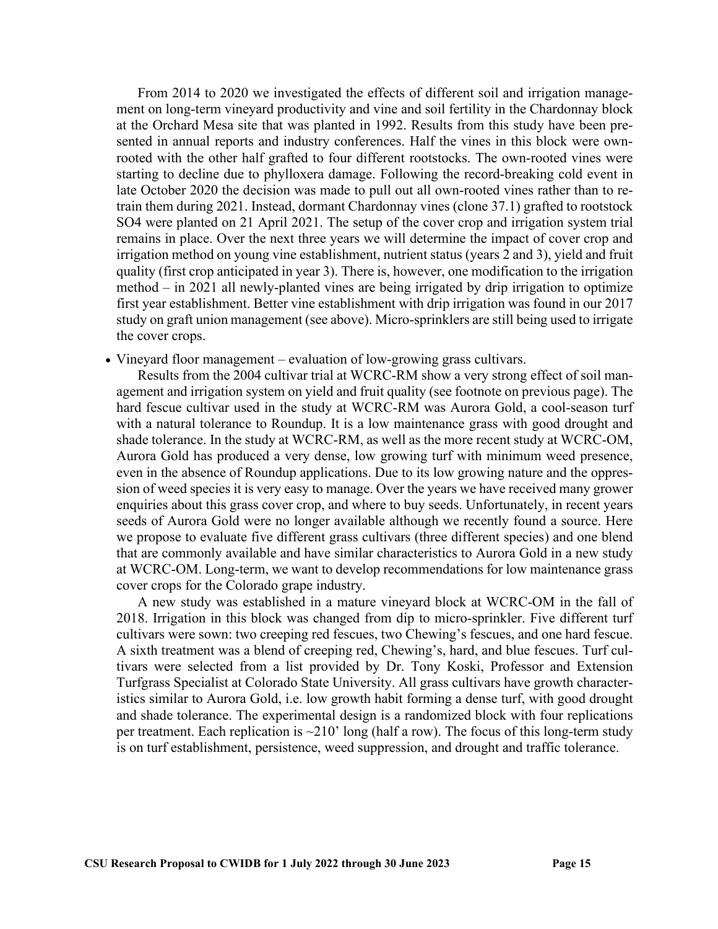From 2014 to 2020 we investigated the effects of different soil and irrigation management on long-term vineyard productivity and vine and soil fertility in the Chardonnay block at the Orchard Mesa site that was planted in 1992. Results from this study have been presented in annual reports and industry conferences. Half the vines in this block were ownrooted with the other half grafted to four different rootstocks. The own-rooted vines were starting to decline due to phylloxera damage. Following the record-breaking cold event in late October 2020 the decision was made to pull out all own-rooted vines rather than to retrain them during 2021. Instead, dormant Chardonnay vines (clone 37.1) grafted to rootstock SO4 were planted on 21 April 2021. The setup of the cover crop and irrigation system trial remains in place. Over the next three years we will determine the impact of cover crop and irrigation method on young vine establishment, nutrient status (years 2 and 3), yield and fruit quality (first crop anticipated in year 3). There is, however, one modification to the irrigation method – in 2021 all newly-planted vines are being irrigated by drip irrigation to optimize first year establishment. Better vine establishment with drip irrigation was found in our 2017 study on graft union management (see above). Micro-sprinklers are still being used to irrigate the cover crops.

• Vineyard floor management – evaluation of low-growing grass cultivars.

Results from the 2004 cultivar trial at WCRC-RM show a very strong effect of soil management and irrigation system on yield and fruit quality (see footnote on previous page). The hard fescue cultivar used in the study at WCRC-RM was Aurora Gold, a cool-season turf with a natural tolerance to Roundup. It is a low maintenance grass with good drought and shade tolerance. In the study at WCRC-RM, as well as the more recent study at WCRC-OM, Aurora Gold has produced a very dense, low growing turf with minimum weed presence, even in the absence of Roundup applications. Due to its low growing nature and the oppression of weed species it is very easy to manage. Over the years we have received many grower enquiries about this grass cover crop, and where to buy seeds. Unfortunately, in recent years seeds of Aurora Gold were no longer available although we recently found a source. Here we propose to evaluate five different grass cultivars (three different species) and one blend that are commonly available and have similar characteristics to Aurora Gold in a new study at WCRC-OM. Long-term, we want to develop recommendations for low maintenance grass cover crops for the Colorado grape industry.

A new study was established in a mature vineyard block at WCRC-OM in the fall of 2018. Irrigation in this block was changed from dip to micro-sprinkler. Five different turf cultivars were sown: two creeping red fescues, two Chewing's fescues, and one hard fescue. A sixth treatment was a blend of creeping red, Chewing's, hard, and blue fescues. Turf cultivars were selected from a list provided by Dr. Tony Koski, Professor and Extension Turfgrass Specialist at Colorado State University. All grass cultivars have growth characteristics similar to Aurora Gold, i.e. low growth habit forming a dense turf, with good drought and shade tolerance. The experimental design is a randomized block with four replications per treatment. Each replication is  $\sim$ 210' long (half a row). The focus of this long-term study is on turf establishment, persistence, weed suppression, and drought and traffic tolerance.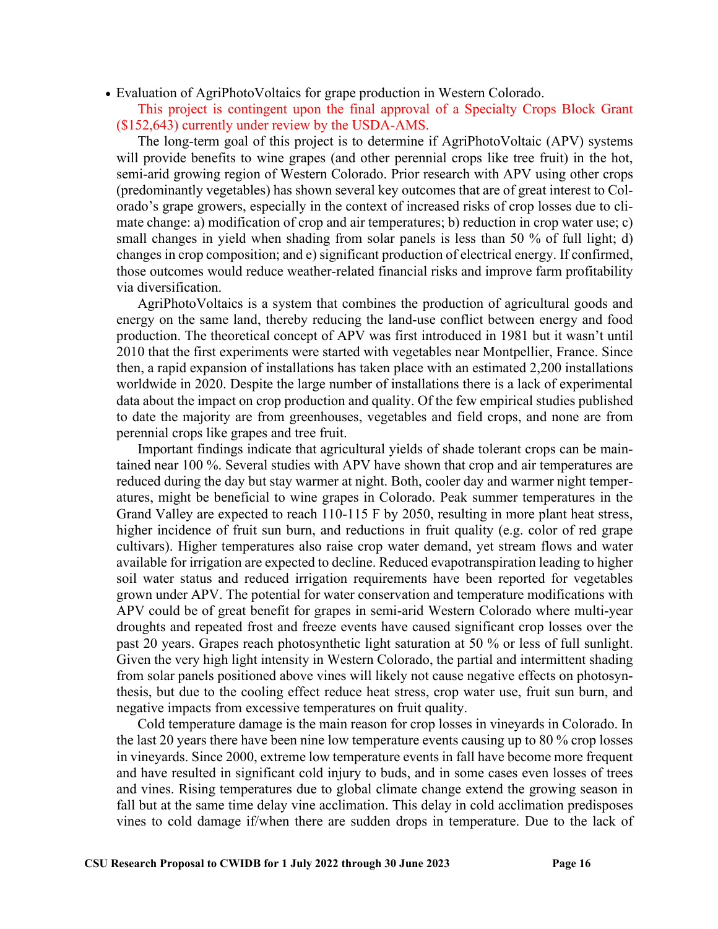• Evaluation of AgriPhotoVoltaics for grape production in Western Colorado.

This project is contingent upon the final approval of a Specialty Crops Block Grant (\$152,643) currently under review by the USDA-AMS.

The long-term goal of this project is to determine if AgriPhotoVoltaic (APV) systems will provide benefits to wine grapes (and other perennial crops like tree fruit) in the hot, semi-arid growing region of Western Colorado. Prior research with APV using other crops (predominantly vegetables) has shown several key outcomes that are of great interest to Colorado's grape growers, especially in the context of increased risks of crop losses due to climate change: a) modification of crop and air temperatures; b) reduction in crop water use; c) small changes in yield when shading from solar panels is less than 50 % of full light; d) changes in crop composition; and e) significant production of electrical energy. If confirmed, those outcomes would reduce weather-related financial risks and improve farm profitability via diversification.

AgriPhotoVoltaics is a system that combines the production of agricultural goods and energy on the same land, thereby reducing the land-use conflict between energy and food production. The theoretical concept of APV was first introduced in 1981 but it wasn't until 2010 that the first experiments were started with vegetables near Montpellier, France. Since then, a rapid expansion of installations has taken place with an estimated 2,200 installations worldwide in 2020. Despite the large number of installations there is a lack of experimental data about the impact on crop production and quality. Of the few empirical studies published to date the majority are from greenhouses, vegetables and field crops, and none are from perennial crops like grapes and tree fruit.

Important findings indicate that agricultural yields of shade tolerant crops can be maintained near 100 %. Several studies with APV have shown that crop and air temperatures are reduced during the day but stay warmer at night. Both, cooler day and warmer night temperatures, might be beneficial to wine grapes in Colorado. Peak summer temperatures in the Grand Valley are expected to reach 110-115 F by 2050, resulting in more plant heat stress, higher incidence of fruit sun burn, and reductions in fruit quality (e.g. color of red grape cultivars). Higher temperatures also raise crop water demand, yet stream flows and water available for irrigation are expected to decline. Reduced evapotranspiration leading to higher soil water status and reduced irrigation requirements have been reported for vegetables grown under APV. The potential for water conservation and temperature modifications with APV could be of great benefit for grapes in semi-arid Western Colorado where multi-year droughts and repeated frost and freeze events have caused significant crop losses over the past 20 years. Grapes reach photosynthetic light saturation at 50 % or less of full sunlight. Given the very high light intensity in Western Colorado, the partial and intermittent shading from solar panels positioned above vines will likely not cause negative effects on photosynthesis, but due to the cooling effect reduce heat stress, crop water use, fruit sun burn, and negative impacts from excessive temperatures on fruit quality.

Cold temperature damage is the main reason for crop losses in vineyards in Colorado. In the last 20 years there have been nine low temperature events causing up to 80 % crop losses in vineyards. Since 2000, extreme low temperature events in fall have become more frequent and have resulted in significant cold injury to buds, and in some cases even losses of trees and vines. Rising temperatures due to global climate change extend the growing season in fall but at the same time delay vine acclimation. This delay in cold acclimation predisposes vines to cold damage if/when there are sudden drops in temperature. Due to the lack of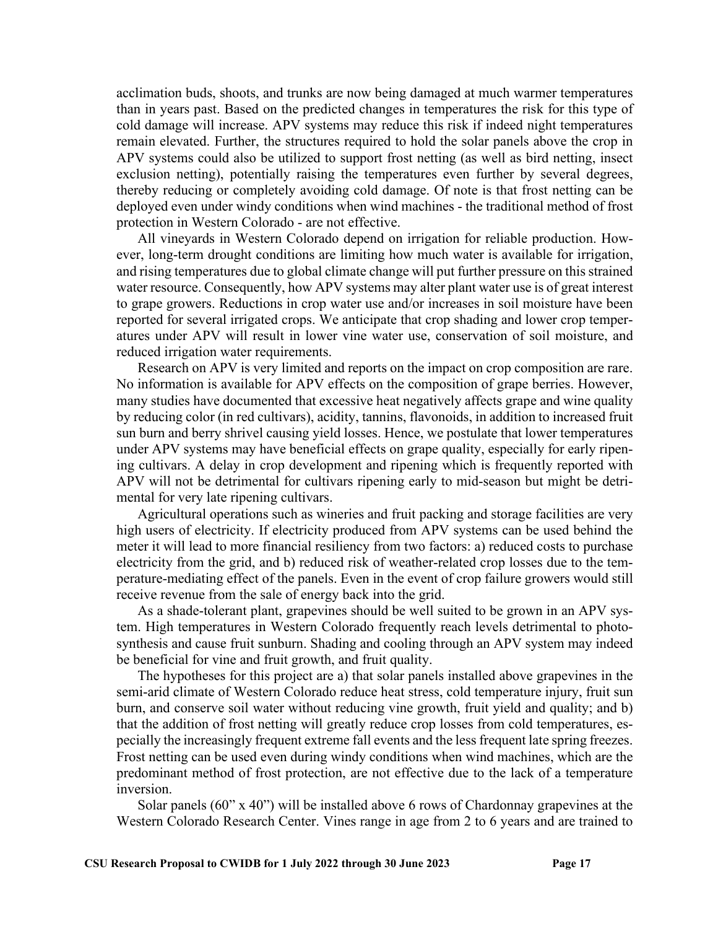acclimation buds, shoots, and trunks are now being damaged at much warmer temperatures than in years past. Based on the predicted changes in temperatures the risk for this type of cold damage will increase. APV systems may reduce this risk if indeed night temperatures remain elevated. Further, the structures required to hold the solar panels above the crop in APV systems could also be utilized to support frost netting (as well as bird netting, insect exclusion netting), potentially raising the temperatures even further by several degrees, thereby reducing or completely avoiding cold damage. Of note is that frost netting can be deployed even under windy conditions when wind machines - the traditional method of frost protection in Western Colorado - are not effective.

All vineyards in Western Colorado depend on irrigation for reliable production. However, long-term drought conditions are limiting how much water is available for irrigation, and rising temperatures due to global climate change will put further pressure on this strained water resource. Consequently, how APV systems may alter plant water use is of great interest to grape growers. Reductions in crop water use and/or increases in soil moisture have been reported for several irrigated crops. We anticipate that crop shading and lower crop temperatures under APV will result in lower vine water use, conservation of soil moisture, and reduced irrigation water requirements.

Research on APV is very limited and reports on the impact on crop composition are rare. No information is available for APV effects on the composition of grape berries. However, many studies have documented that excessive heat negatively affects grape and wine quality by reducing color (in red cultivars), acidity, tannins, flavonoids, in addition to increased fruit sun burn and berry shrivel causing yield losses. Hence, we postulate that lower temperatures under APV systems may have beneficial effects on grape quality, especially for early ripening cultivars. A delay in crop development and ripening which is frequently reported with APV will not be detrimental for cultivars ripening early to mid-season but might be detrimental for very late ripening cultivars.

Agricultural operations such as wineries and fruit packing and storage facilities are very high users of electricity. If electricity produced from APV systems can be used behind the meter it will lead to more financial resiliency from two factors: a) reduced costs to purchase electricity from the grid, and b) reduced risk of weather-related crop losses due to the temperature-mediating effect of the panels. Even in the event of crop failure growers would still receive revenue from the sale of energy back into the grid.

As a shade-tolerant plant, grapevines should be well suited to be grown in an APV system. High temperatures in Western Colorado frequently reach levels detrimental to photosynthesis and cause fruit sunburn. Shading and cooling through an APV system may indeed be beneficial for vine and fruit growth, and fruit quality.

The hypotheses for this project are a) that solar panels installed above grapevines in the semi-arid climate of Western Colorado reduce heat stress, cold temperature injury, fruit sun burn, and conserve soil water without reducing vine growth, fruit yield and quality; and b) that the addition of frost netting will greatly reduce crop losses from cold temperatures, especially the increasingly frequent extreme fall events and the less frequent late spring freezes. Frost netting can be used even during windy conditions when wind machines, which are the predominant method of frost protection, are not effective due to the lack of a temperature inversion.

Solar panels (60" x 40") will be installed above 6 rows of Chardonnay grapevines at the Western Colorado Research Center. Vines range in age from 2 to 6 years and are trained to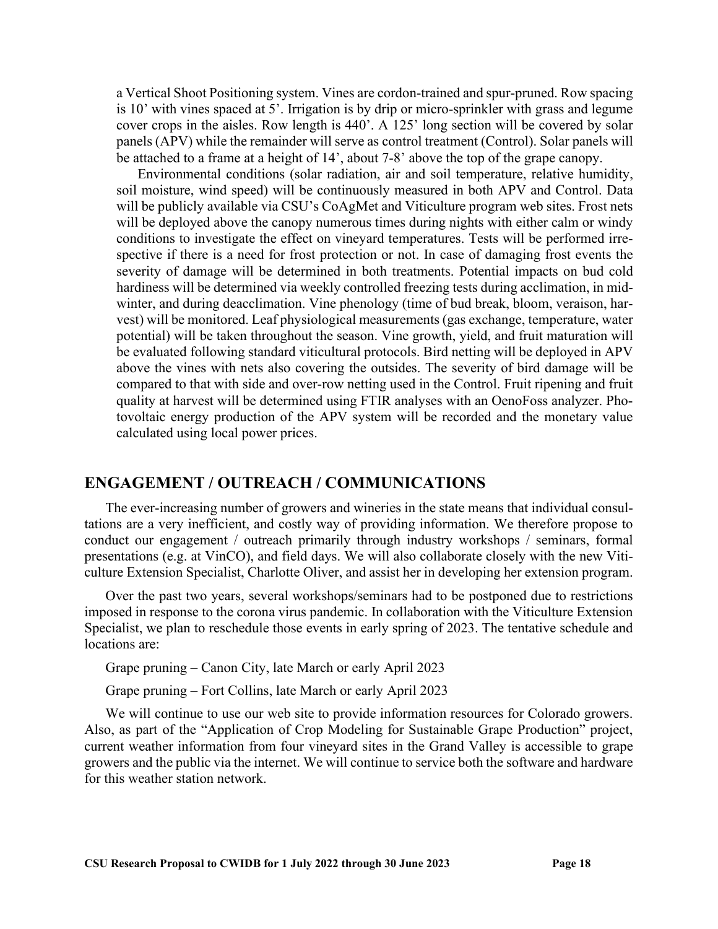a Vertical Shoot Positioning system. Vines are cordon-trained and spur-pruned. Row spacing is 10' with vines spaced at 5'. Irrigation is by drip or micro-sprinkler with grass and legume cover crops in the aisles. Row length is 440'. A 125' long section will be covered by solar panels (APV) while the remainder will serve as control treatment (Control). Solar panels will be attached to a frame at a height of 14', about 7-8' above the top of the grape canopy.

Environmental conditions (solar radiation, air and soil temperature, relative humidity, soil moisture, wind speed) will be continuously measured in both APV and Control. Data will be publicly available via CSU's CoAgMet and Viticulture program web sites. Frost nets will be deployed above the canopy numerous times during nights with either calm or windy conditions to investigate the effect on vineyard temperatures. Tests will be performed irrespective if there is a need for frost protection or not. In case of damaging frost events the severity of damage will be determined in both treatments. Potential impacts on bud cold hardiness will be determined via weekly controlled freezing tests during acclimation, in midwinter, and during deacclimation. Vine phenology (time of bud break, bloom, veraison, harvest) will be monitored. Leaf physiological measurements (gas exchange, temperature, water potential) will be taken throughout the season. Vine growth, yield, and fruit maturation will be evaluated following standard viticultural protocols. Bird netting will be deployed in APV above the vines with nets also covering the outsides. The severity of bird damage will be compared to that with side and over-row netting used in the Control. Fruit ripening and fruit quality at harvest will be determined using FTIR analyses with an OenoFoss analyzer. Photovoltaic energy production of the APV system will be recorded and the monetary value calculated using local power prices.

### **ENGAGEMENT / OUTREACH / COMMUNICATIONS**

The ever-increasing number of growers and wineries in the state means that individual consultations are a very inefficient, and costly way of providing information. We therefore propose to conduct our engagement / outreach primarily through industry workshops / seminars, formal presentations (e.g. at VinCO), and field days. We will also collaborate closely with the new Viticulture Extension Specialist, Charlotte Oliver, and assist her in developing her extension program.

Over the past two years, several workshops/seminars had to be postponed due to restrictions imposed in response to the corona virus pandemic. In collaboration with the Viticulture Extension Specialist, we plan to reschedule those events in early spring of 2023. The tentative schedule and locations are:

Grape pruning – Canon City, late March or early April 2023

Grape pruning – Fort Collins, late March or early April 2023

We will continue to use our web site to provide information resources for Colorado growers. Also, as part of the "Application of Crop Modeling for Sustainable Grape Production" project, current weather information from four vineyard sites in the Grand Valley is accessible to grape growers and the public via the internet. We will continue to service both the software and hardware for this weather station network.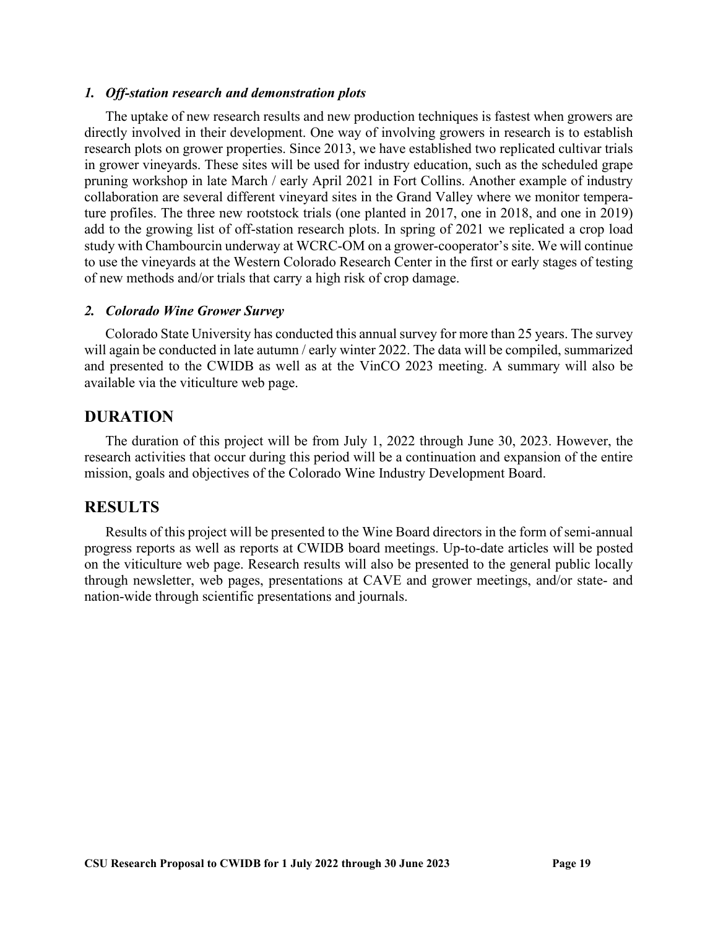### *1. Off-station research and demonstration plots*

The uptake of new research results and new production techniques is fastest when growers are directly involved in their development. One way of involving growers in research is to establish research plots on grower properties. Since 2013, we have established two replicated cultivar trials in grower vineyards. These sites will be used for industry education, such as the scheduled grape pruning workshop in late March / early April 2021 in Fort Collins. Another example of industry collaboration are several different vineyard sites in the Grand Valley where we monitor temperature profiles. The three new rootstock trials (one planted in 2017, one in 2018, and one in 2019) add to the growing list of off-station research plots. In spring of 2021 we replicated a crop load study with Chambourcin underway at WCRC-OM on a grower-cooperator's site. We will continue to use the vineyards at the Western Colorado Research Center in the first or early stages of testing of new methods and/or trials that carry a high risk of crop damage.

### *2. Colorado Wine Grower Survey*

Colorado State University has conducted this annual survey for more than 25 years. The survey will again be conducted in late autumn / early winter 2022. The data will be compiled, summarized and presented to the CWIDB as well as at the VinCO 2023 meeting. A summary will also be available via the viticulture web page.

## **DURATION**

The duration of this project will be from July 1, 2022 through June 30, 2023. However, the research activities that occur during this period will be a continuation and expansion of the entire mission, goals and objectives of the Colorado Wine Industry Development Board.

## **RESULTS**

Results of this project will be presented to the Wine Board directors in the form of semi-annual progress reports as well as reports at CWIDB board meetings. Up-to-date articles will be posted on the viticulture web page. Research results will also be presented to the general public locally through newsletter, web pages, presentations at CAVE and grower meetings, and/or state- and nation-wide through scientific presentations and journals.